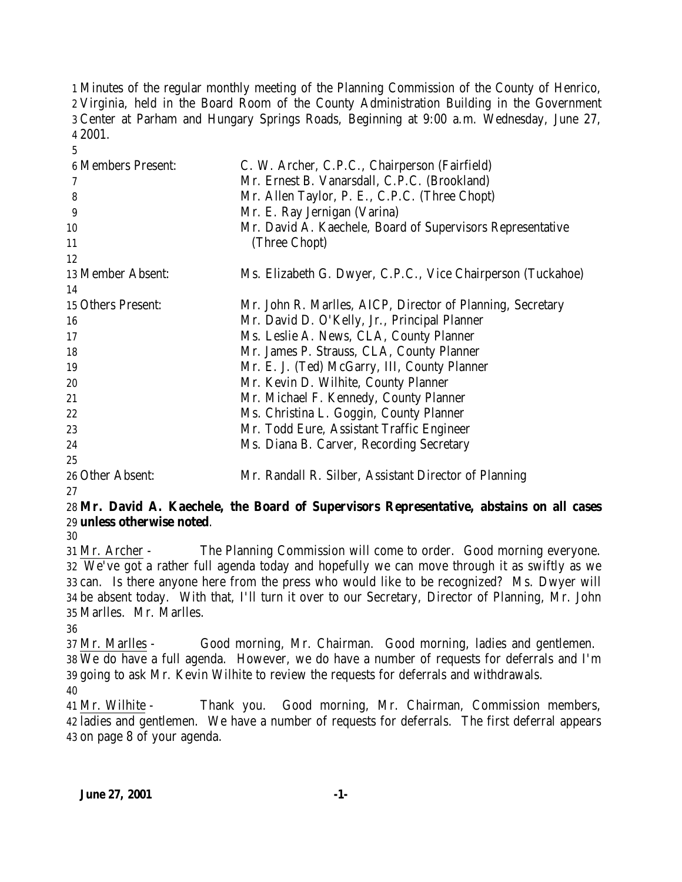Minutes of the regular monthly meeting of the Planning Commission of the County of Henrico, Virginia, held in the Board Room of the County Administration Building in the Government Center at Parham and Hungary Springs Roads, Beginning at 9:00 a.m. Wednesday, June 27, 2001.

| <b>6 Members Present:</b> | C. W. Archer, C.P.C., Chairperson (Fairfield)               |
|---------------------------|-------------------------------------------------------------|
|                           | Mr. Ernest B. Vanarsdall, C.P.C. (Brookland)                |
| 8                         | Mr. Allen Taylor, P. E., C.P.C. (Three Chopt)               |
| 9                         | Mr. E. Ray Jernigan (Varina)                                |
| 10                        | Mr. David A. Kaechele, Board of Supervisors Representative  |
| 11                        | (Three Chopt)                                               |
| 12                        |                                                             |
| 13 Member Absent:         | Ms. Elizabeth G. Dwyer, C.P.C., Vice Chairperson (Tuckahoe) |
| 14                        |                                                             |
| 15 Others Present:        | Mr. John R. Marlles, AICP, Director of Planning, Secretary  |
| 16                        | Mr. David D. O'Kelly, Jr., Principal Planner                |
| 17                        | Ms. Leslie A. News, CLA, County Planner                     |
| 18                        | Mr. James P. Strauss, CLA, County Planner                   |
| 19                        | Mr. E. J. (Ted) McGarry, III, County Planner                |
| 20                        | Mr. Kevin D. Wilhite, County Planner                        |
| 21                        | Mr. Michael F. Kennedy, County Planner                      |
| 22                        | Ms. Christina L. Goggin, County Planner                     |
| 23                        | Mr. Todd Eure, Assistant Traffic Engineer                   |
| 24                        | Ms. Diana B. Carver, Recording Secretary                    |
| 25                        |                                                             |
| 26 Other Absent:          | Mr. Randall R. Silber, Assistant Director of Planning       |
|                           |                                                             |

## **Mr. David A. Kaechele, the Board of Supervisors Representative, abstains on all cases unless otherwise noted**.

 Mr. Archer - The Planning Commission will come to order. Good morning everyone. We've got a rather full agenda today and hopefully we can move through it as swiftly as we can. Is there anyone here from the press who would like to be recognized? Ms. Dwyer will be absent today. With that, I'll turn it over to our Secretary, Director of Planning, Mr. John Marlles. Mr. Marlles.

 Mr. Marlles - Good morning, Mr. Chairman. Good morning, ladies and gentlemen. We do have a full agenda. However, we do have a number of requests for deferrals and I'm going to ask Mr. Kevin Wilhite to review the requests for deferrals and withdrawals. 

 Mr. Wilhite - Thank you. Good morning, Mr. Chairman, Commission members, ladies and gentlemen. We have a number of requests for deferrals. The first deferral appears on page 8 of your agenda.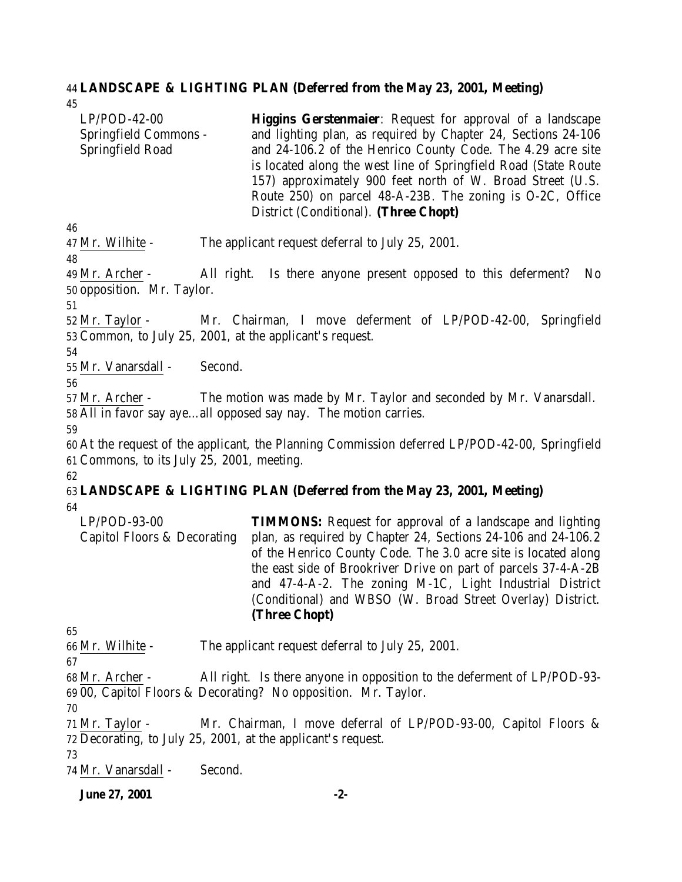#### **LANDSCAPE & LIGHTING PLAN (Deferred from the May 23, 2001, Meeting)**

LP/POD-42-00 Springfield Commons - Springfield Road **Higgins Gerstenmaier**: Request for approval of a landscape and lighting plan, as required by Chapter 24, Sections 24-106 and 24-106.2 of the Henrico County Code. The 4.29 acre site is located along the west line of Springfield Road (State Route 157) approximately 900 feet north of W. Broad Street (U.S. Route 250) on parcel 48-A-23B. The zoning is O-2C, Office District (Conditional). **(Three Chopt)**

Mr. Wilhite - The applicant request deferral to July 25, 2001.

 Mr. Archer - All right. Is there anyone present opposed to this deferment? No opposition. Mr. Taylor.

 Mr. Taylor - Mr. Chairman, I move deferment of LP/POD-42-00, Springfield Common, to July 25, 2001, at the applicant's request.

Mr. Vanarsdall - Second.

 Mr. Archer - The motion was made by Mr. Taylor and seconded by Mr. Vanarsdall. All in favor say aye…all opposed say nay. The motion carries.

 At the request of the applicant, the Planning Commission deferred LP/POD-42-00, Springfield Commons, to its July 25, 2001, meeting. 

#### **LANDSCAPE & LIGHTING PLAN (Deferred from the May 23, 2001, Meeting)**

LP/POD-93-00 Capitol Floors & Decorating **TIMMONS:** Request for approval of a landscape and lighting plan, as required by Chapter 24, Sections 24-106 and 24-106.2 of the Henrico County Code. The 3.0 acre site is located along the east side of Brookriver Drive on part of parcels 37-4-A-2B and 47-4-A-2. The zoning M-1C, Light Industrial District (Conditional) and WBSO (W. Broad Street Overlay) District. **(Three Chopt)**

Mr. Wilhite - The applicant request deferral to July 25, 2001.

 Mr. Archer - All right. Is there anyone in opposition to the deferment of LP/POD-93- 00, Capitol Floors & Decorating? No opposition. Mr. Taylor.

 Mr. Taylor - Mr. Chairman, I move deferral of LP/POD-93-00, Capitol Floors & Decorating, to July 25, 2001, at the applicant's request.

Mr. Vanarsdall - Second.

**June 27, 2001 -2-**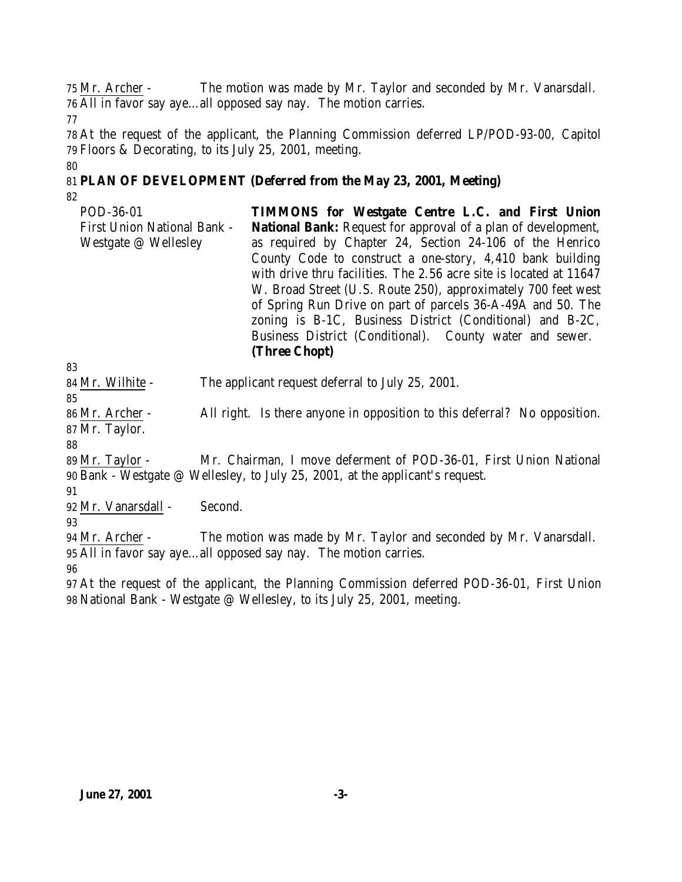Mr. Archer - The motion was made by Mr. Taylor and seconded by Mr. Vanarsdall. All in favor say aye…all opposed say nay. The motion carries.

 At the request of the applicant, the Planning Commission deferred LP/POD-93-00, Capitol Floors & Decorating, to its July 25, 2001, meeting.

## **PLAN OF DEVELOPMENT (Deferred from the May 23, 2001, Meeting)**

POD-36-01 First Union National Bank - Westgate @ Wellesley **TIMMONS for Westgate Centre L.C. and First Union National Bank:** Request for approval of a plan of development, as required by Chapter 24, Section 24-106 of the Henrico County Code to construct a one-story, 4,410 bank building with drive thru facilities. The 2.56 acre site is located at 11647 W. Broad Street (U.S. Route 250), approximately 700 feet west of Spring Run Drive on part of parcels 36-A-49A and 50. The zoning is B-1C, Business District (Conditional) and B-2C, Business District (Conditional). County water and sewer. **(Three Chopt)**

Mr. Wilhite - The applicant request deferral to July 25, 2001.

 Mr. Archer - All right. Is there anyone in opposition to this deferral? No opposition. Mr. Taylor.

 Mr. Taylor - Mr. Chairman, I move deferment of POD-36-01, First Union National Bank - Westgate @ Wellesley, to July 25, 2001, at the applicant's request.

Mr. Vanarsdall - Second.

 Mr. Archer - The motion was made by Mr. Taylor and seconded by Mr. Vanarsdall. All in favor say aye…all opposed say nay. The motion carries.

 At the request of the applicant, the Planning Commission deferred POD-36-01, First Union National Bank - Westgate @ Wellesley, to its July 25, 2001, meeting.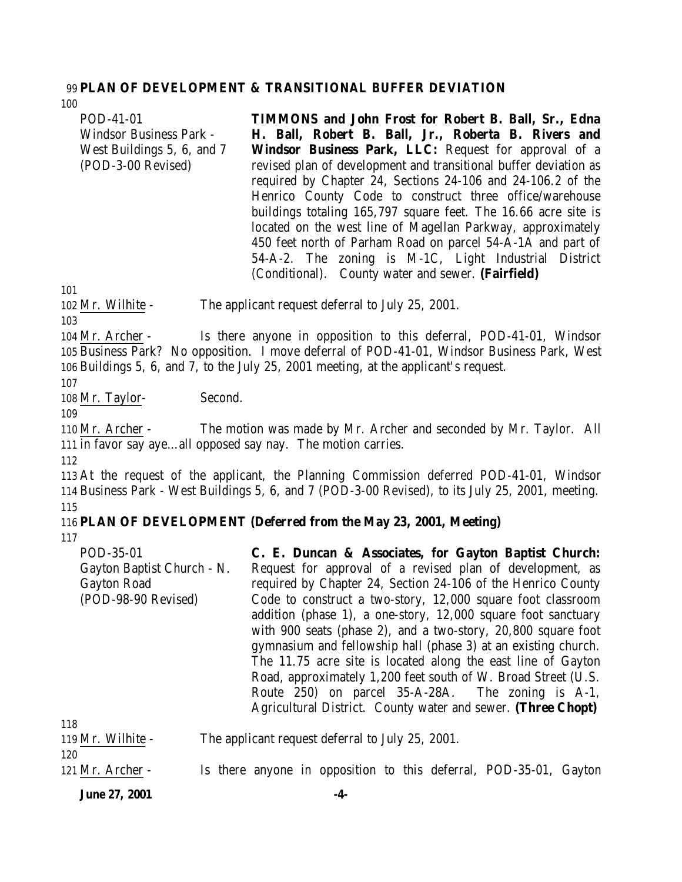#### 99 **PLAN OF DEVELOPMENT & TRANSITIONAL BUFFER DEVIATION**

| 100                            |                                                                  |
|--------------------------------|------------------------------------------------------------------|
| POD-41-01                      | <b>TIMMONS</b> and John Frost for Robert B. Ball, Sr., Edna      |
| <b>Windsor Business Park -</b> | H. Ball, Robert B. Ball, Jr., Roberta B. Rivers and              |
| West Buildings 5, 6, and 7     | Windsor Business Park, LLC: Request for approval of a            |
| (POD-3-00 Revised)             | revised plan of development and transitional buffer deviation as |
|                                | required by Chapter 24, Sections 24-106 and 24-106.2 of the      |
|                                | Henrico County Code to construct three office/warehouse          |
|                                | buildings totaling 165,797 square feet. The 16.66 acre site is   |
|                                | located on the west line of Magellan Parkway, approximately      |
|                                | 450 feet north of Parham Road on parcel 54-A-1A and part of      |
|                                | 54-A-2. The zoning is M-1C, Light Industrial District            |
|                                | (Conditional). County water and sewer. (Fairfield)               |

101

102 Mr. Wilhite - The applicant request deferral to July 25, 2001.

103

104 Mr. Archer - Is there anyone in opposition to this deferral, POD-41-01, Windsor 105 Business Park? No opposition. I move deferral of POD-41-01, Windsor Business Park, West 106 Buildings 5, 6, and 7, to the July 25, 2001 meeting, at the applicant's request.

107

108 Mr. Taylor- Second.

109

110 Mr. Archer - The motion was made by Mr. Archer and seconded by Mr. Taylor. All 111 in favor say aye…all opposed say nay. The motion carries.

112

113 At the request of the applicant, the Planning Commission deferred POD-41-01, Windsor 114 Business Park - West Buildings 5, 6, and 7 (POD-3-00 Revised), to its July 25, 2001, meeting. 115

#### 116 **PLAN OF DEVELOPMENT (Deferred from the May 23, 2001, Meeting)**

117

| POD-35-01                  | C. E. Duncan & Associates, for Gayton Baptist Church:           |
|----------------------------|-----------------------------------------------------------------|
| Gayton Baptist Church - N. | Request for approval of a revised plan of development, as       |
| <b>Gayton Road</b>         | required by Chapter 24, Section 24-106 of the Henrico County    |
| (POD-98-90 Revised)        | Code to construct a two-story, 12,000 square foot classroom     |
|                            | addition (phase 1), a one-story, 12,000 square foot sanctuary   |
|                            | with 900 seats (phase 2), and a two-story, $20,800$ square foot |
|                            | gymnasium and fellowship hall (phase 3) at an existing church.  |
|                            | The 11.75 acre site is located along the east line of Gayton    |
|                            | Road, approximately 1,200 feet south of W. Broad Street (U.S.   |
|                            | Route 250) on parcel 35-A-28A. The zoning is A-1,               |
|                            | Agricultural District. County water and sewer. (Three Chopt)    |
|                            |                                                                 |

| 118               |                                                                   |
|-------------------|-------------------------------------------------------------------|
| 119 Mr. Wilhite - | The applicant request deferral to July 25, 2001.                  |
| 120               |                                                                   |
| 121 Mr. Archer -  | Is there anyone in opposition to this deferral, POD-35-01, Gayton |

**June 27, 2001 -4-**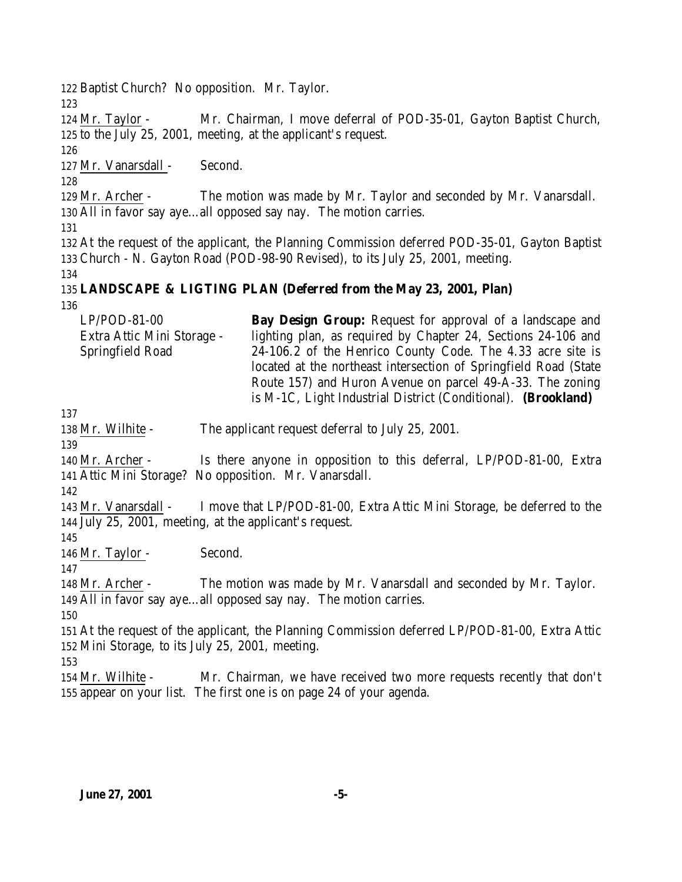Baptist Church? No opposition. Mr. Taylor. Mr. Taylor - Mr. Chairman, I move deferral of POD-35-01, Gayton Baptist Church, to the July 25, 2001, meeting, at the applicant's request. Mr. Vanarsdall - Second. Mr. Archer - The motion was made by Mr. Taylor and seconded by Mr. Vanarsdall. All in favor say aye…all opposed say nay. The motion carries. At the request of the applicant, the Planning Commission deferred POD-35-01, Gayton Baptist Church - N. Gayton Road (POD-98-90 Revised), to its July 25, 2001, meeting. **LANDSCAPE & LIGTING PLAN (Deferred from the May 23, 2001, Plan)** LP/POD-81-00 Extra Attic Mini Storage - Springfield Road **Bay Design Group:** Request for approval of a landscape and lighting plan, as required by Chapter 24, Sections 24-106 and 24-106.2 of the Henrico County Code. The 4.33 acre site is located at the northeast intersection of Springfield Road (State Route 157) and Huron Avenue on parcel 49-A-33. The zoning is M-1C, Light Industrial District (Conditional). **(Brookland)** 138 Mr. Wilhite - The applicant request deferral to July 25, 2001. Mr. Archer - Is there anyone in opposition to this deferral, LP/POD-81-00, Extra Attic Mini Storage? No opposition. Mr. Vanarsdall. Mr. Vanarsdall - I move that LP/POD-81-00, Extra Attic Mini Storage, be deferred to the July 25, 2001, meeting, at the applicant's request. Mr. Taylor - Second. Mr. Archer - The motion was made by Mr. Vanarsdall and seconded by Mr. Taylor. All in favor say aye…all opposed say nay. The motion carries. At the request of the applicant, the Planning Commission deferred LP/POD-81-00, Extra Attic Mini Storage, to its July 25, 2001, meeting. Mr. Wilhite - Mr. Chairman, we have received two more requests recently that don't appear on your list. The first one is on page 24 of your agenda.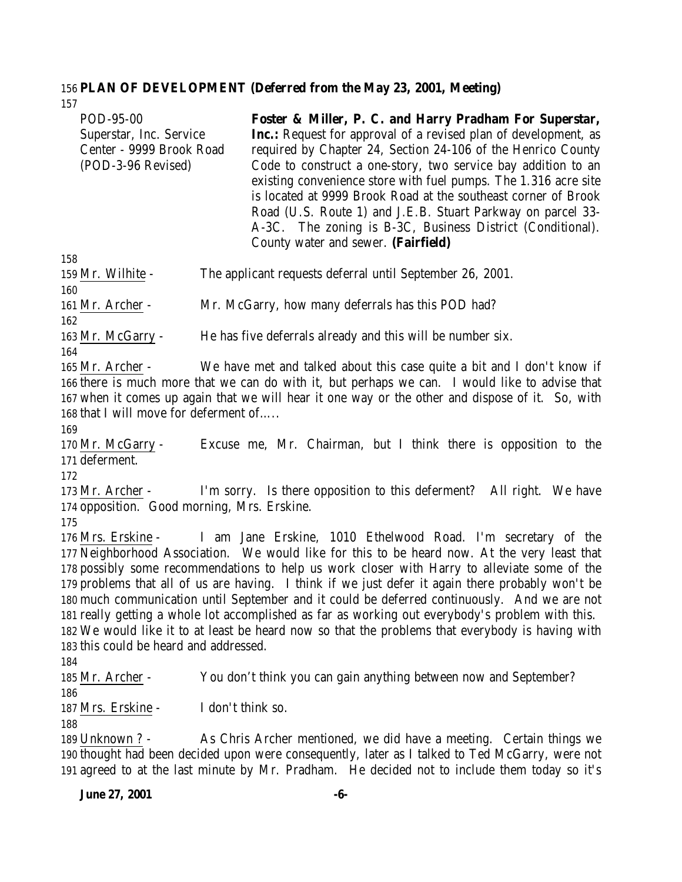# **PLAN OF DEVELOPMENT (Deferred from the May 23, 2001, Meeting)**

| 157                                                                                                            |                                                                                                                                                                                                                                                                                                                                                                                                                                                                                                                                                                                                                                                                           |
|----------------------------------------------------------------------------------------------------------------|---------------------------------------------------------------------------------------------------------------------------------------------------------------------------------------------------------------------------------------------------------------------------------------------------------------------------------------------------------------------------------------------------------------------------------------------------------------------------------------------------------------------------------------------------------------------------------------------------------------------------------------------------------------------------|
| POD-95-00<br>Superstar, Inc. Service<br>Center - 9999 Brook Road<br>(POD-3-96 Revised)                         | Foster & Miller, P. C. and Harry Pradham For Superstar,<br><b>Inc.:</b> Request for approval of a revised plan of development, as<br>required by Chapter 24, Section 24-106 of the Henrico County<br>Code to construct a one-story, two service bay addition to an<br>existing convenience store with fuel pumps. The 1.316 acre site<br>is located at 9999 Brook Road at the southeast corner of Brook<br>Road (U.S. Route 1) and J.E.B. Stuart Parkway on parcel 33-<br>A-3C. The zoning is B-3C, Business District (Conditional).<br>County water and sewer. (Fairfield)                                                                                               |
| 158<br>159 Mr. Wilhite -                                                                                       | The applicant requests deferral until September 26, 2001.                                                                                                                                                                                                                                                                                                                                                                                                                                                                                                                                                                                                                 |
| 160<br>161 Mr. Archer -                                                                                        | Mr. McGarry, how many deferrals has this POD had?                                                                                                                                                                                                                                                                                                                                                                                                                                                                                                                                                                                                                         |
| 162<br>163 Mr. McGarry -                                                                                       | He has five deferrals already and this will be number six.                                                                                                                                                                                                                                                                                                                                                                                                                                                                                                                                                                                                                |
| 164<br>165 Mr. Archer -<br>168 that I will move for deferment of<br>169<br>170 Mr. McGarry -<br>171 deferment. | We have met and talked about this case quite a bit and I don't know if<br>166 there is much more that we can do with it, but perhaps we can. I would like to advise that<br>167 when it comes up again that we will hear it one way or the other and dispose of it. So, with<br>Excuse me, Mr. Chairman, but I think there is opposition to the                                                                                                                                                                                                                                                                                                                           |
| 172<br>$173$ Mr. Archer -<br>174 opposition. Good morning, Mrs. Erskine.                                       | I'm sorry. Is there opposition to this deferment? All right. We have                                                                                                                                                                                                                                                                                                                                                                                                                                                                                                                                                                                                      |
| 175<br>176 Mrs. Erskine -<br>183 this could be heard and addressed.<br>184                                     | I am Jane Erskine, 1010 Ethelwood Road. I'm secretary of the<br>177 Neighborhood Association. We would like for this to be heard now. At the very least that<br>178 possibly some recommendations to help us work closer with Harry to alleviate some of the<br>179 problems that all of us are having. I think if we just defer it again there probably won't be<br>180 much communication until September and it could be deferred continuously. And we are not<br>181 really getting a whole lot accomplished as far as working out everybody's problem with this.<br>182 We would like it to at least be heard now so that the problems that everybody is having with |
| 185 Mr. Archer -                                                                                               | You don't think you can gain anything between now and September?                                                                                                                                                                                                                                                                                                                                                                                                                                                                                                                                                                                                          |
| 186<br>187 Mrs. Erskine -<br>188                                                                               | I don't think so.                                                                                                                                                                                                                                                                                                                                                                                                                                                                                                                                                                                                                                                         |
| 189 Unknown ? -                                                                                                | As Chris Archer mentioned, we did have a meeting. Certain things we<br>190 thought had been decided upon were consequently, later as I talked to Ted McGarry, were not<br>191 agreed to at the last minute by Mr. Pradham. He decided not to include them today so it's                                                                                                                                                                                                                                                                                                                                                                                                   |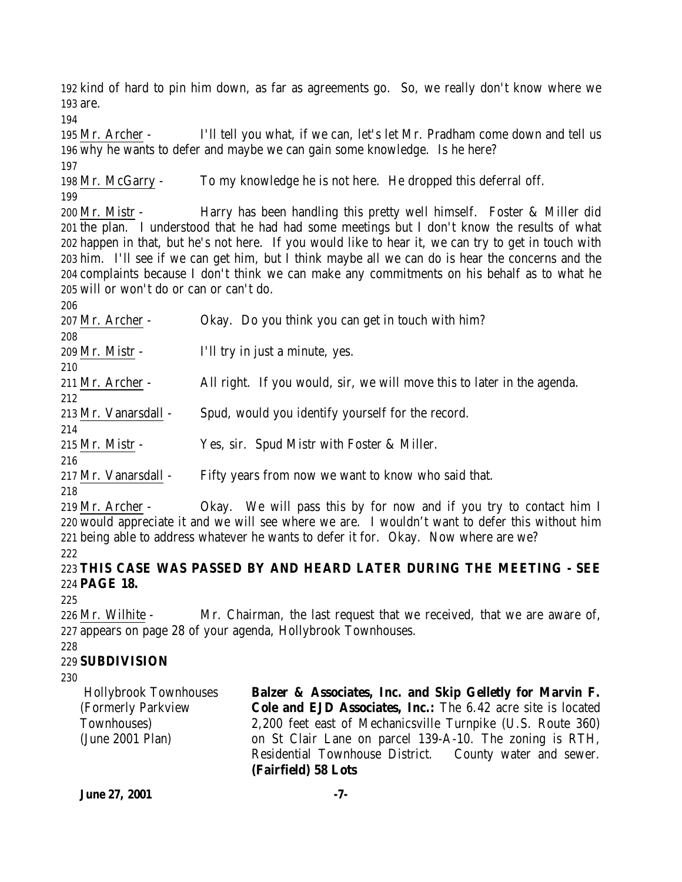kind of hard to pin him down, as far as agreements go. So, we really don't know where we are.

 Mr. Archer - I'll tell you what, if we can, let's let Mr. Pradham come down and tell us why he wants to defer and maybe we can gain some knowledge. Is he here? 

 Mr. McGarry - To my knowledge he is not here. He dropped this deferral off. 

 Mr. Mistr - Harry has been handling this pretty well himself. Foster & Miller did the plan. I understood that he had had some meetings but I don't know the results of what happen in that, but he's not here. If you would like to hear it, we can try to get in touch with him. I'll see if we can get him, but I think maybe all we can do is hear the concerns and the complaints because I don't think we can make any commitments on his behalf as to what he will or won't do or can or can't do.

 Mr. Archer - Okay. Do you think you can get in touch with him? Mr. Mistr - I'll try in just a minute, yes. Mr. Archer - All right. If you would, sir, we will move this to later in the agenda. Mr. Vanarsdall - Spud, would you identify yourself for the record. Mr. Mistr - Yes, sir. Spud Mistr with Foster & Miller. Mr. Vanarsdall - Fifty years from now we want to know who said that. 

 Mr. Archer - Okay. We will pass this by for now and if you try to contact him I would appreciate it and we will see where we are. I wouldn't want to defer this without him being able to address whatever he wants to defer it for. Okay. Now where are we?

 **THIS CASE WAS PASSED BY AND HEARD LATER DURING THE MEETING - SEE PAGE 18.**

 Mr. Wilhite - Mr. Chairman, the last request that we received, that we are aware of, appears on page 28 of your agenda, Hollybrook Townhouses.

#### **SUBDIVISION**

 Hollybrook Townhouses (Formerly Parkview Townhouses) (June 2001 Plan) **Balzer & Associates, Inc. and Skip Gelletly for Marvin F. Cole and EJD Associates, Inc.:** The 6.42 acre site is located 2,200 feet east of Mechanicsville Turnpike (U.S. Route 360) on St Clair Lane on parcel 139-A-10. The zoning is RTH, Residential Townhouse District. County water and sewer. **(Fairfield) 58 Lots**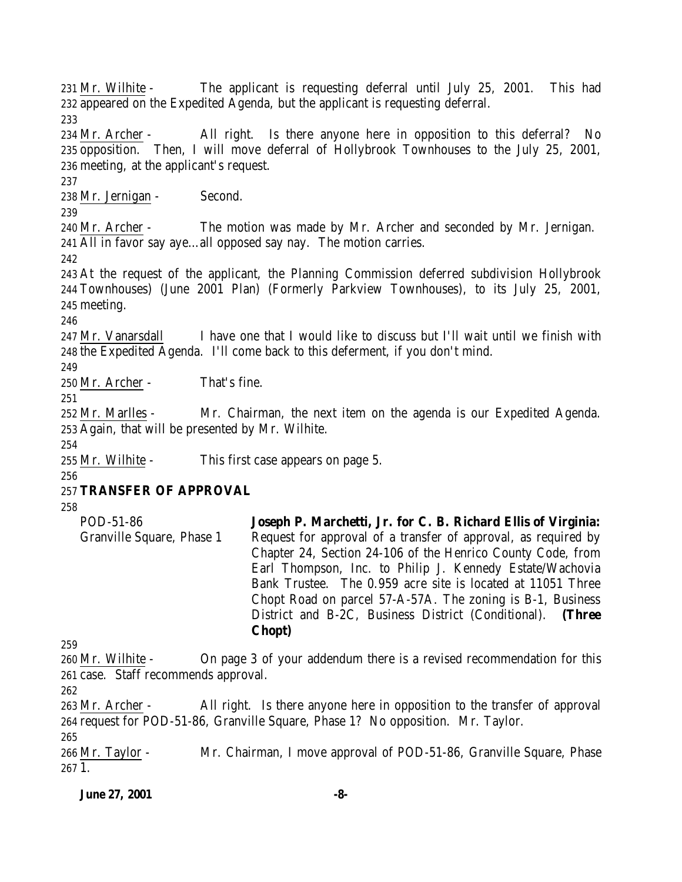Mr. Wilhite - The applicant is requesting deferral until July 25, 2001. This had appeared on the Expedited Agenda, but the applicant is requesting deferral. Mr. Archer - All right. Is there anyone here in opposition to this deferral? No opposition. Then, I will move deferral of Hollybrook Townhouses to the July 25, 2001, meeting, at the applicant's request. Mr. Jernigan - Second. Mr. Archer - The motion was made by Mr. Archer and seconded by Mr. Jernigan. All in favor say aye…all opposed say nay. The motion carries. At the request of the applicant, the Planning Commission deferred subdivision Hollybrook Townhouses) (June 2001 Plan) (Formerly Parkview Townhouses), to its July 25, 2001, meeting. 247 Mr. Vanarsdall I have one that I would like to discuss but I'll wait until we finish with the Expedited Agenda. I'll come back to this deferment, if you don't mind. Mr. Archer - That's fine. Mr. Marlles - Mr. Chairman, the next item on the agenda is our Expedited Agenda. Again, that will be presented by Mr. Wilhite. Mr. Wilhite - This first case appears on page 5. **TRANSFER OF APPROVAL** POD-51-86 **Joseph P. Marchetti, Jr. for C. B. Richard Ellis of Virginia:**

Granville Square, Phase 1 Request for approval of a transfer of approval, as required by Chapter 24, Section 24-106 of the Henrico County Code, from Earl Thompson, Inc. to Philip J. Kennedy Estate/Wachovia Bank Trustee. The 0.959 acre site is located at 11051 Three Chopt Road on parcel 57-A-57A. The zoning is B-1, Business District and B-2C, Business District (Conditional). **(Three Chopt)**

 Mr. Wilhite - On page 3 of your addendum there is a revised recommendation for this case. Staff recommends approval.

 Mr. Archer - All right. Is there anyone here in opposition to the transfer of approval request for POD-51-86, Granville Square, Phase 1? No opposition. Mr. Taylor.

 Mr. Taylor - Mr. Chairman, I move approval of POD-51-86, Granville Square, Phase 1.

**June 27, 2001 -8-**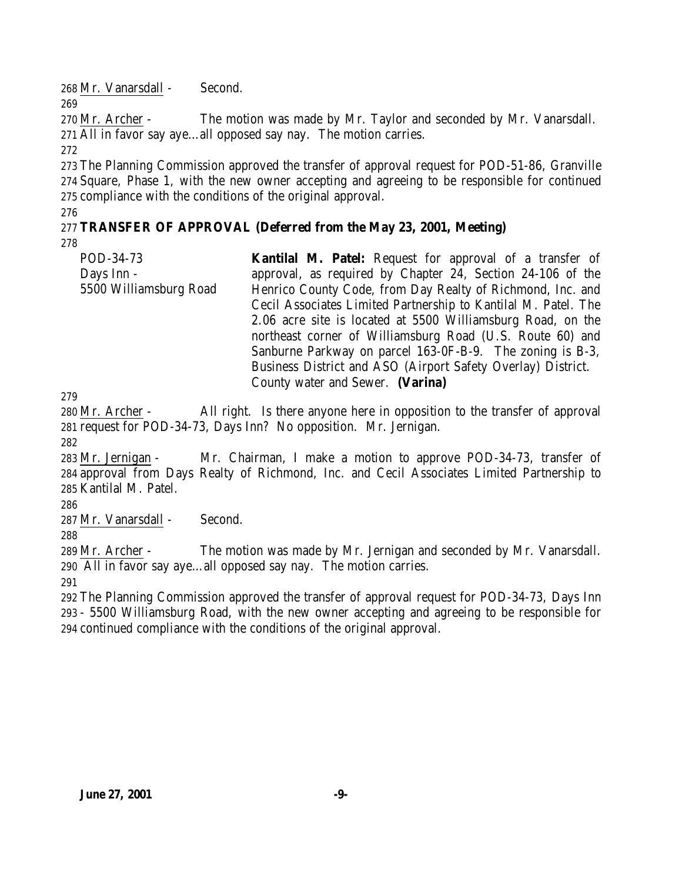Mr. Vanarsdall - Second.

 Mr. Archer - The motion was made by Mr. Taylor and seconded by Mr. Vanarsdall. All in favor say aye…all opposed say nay. The motion carries.

 The Planning Commission approved the transfer of approval request for POD-51-86, Granville Square, Phase 1, with the new owner accepting and agreeing to be responsible for continued compliance with the conditions of the original approval.

### **TRANSFER OF APPROVAL (Deferred from the May 23, 2001, Meeting)**

POD-34-73 Days Inn - 5500 Williamsburg Road **Kantilal M. Patel:** Request for approval of a transfer of approval, as required by Chapter 24, Section 24-106 of the Henrico County Code, from Day Realty of Richmond, Inc. and Cecil Associates Limited Partnership to Kantilal M. Patel. The 2.06 acre site is located at 5500 Williamsburg Road, on the northeast corner of Williamsburg Road (U.S. Route 60) and Sanburne Parkway on parcel 163-0F-B-9. The zoning is B-3, Business District and ASO (Airport Safety Overlay) District. County water and Sewer. **(Varina)**

 Mr. Archer - All right. Is there anyone here in opposition to the transfer of approval request for POD-34-73, Days Inn? No opposition. Mr. Jernigan.

 Mr. Jernigan - Mr. Chairman, I make a motion to approve POD-34-73, transfer of approval from Days Realty of Richmond, Inc. and Cecil Associates Limited Partnership to Kantilal M. Patel.

Mr. Vanarsdall - Second.

 Mr. Archer - The motion was made by Mr. Jernigan and seconded by Mr. Vanarsdall. All in favor say aye…all opposed say nay. The motion carries.

 The Planning Commission approved the transfer of approval request for POD-34-73, Days Inn - 5500 Williamsburg Road, with the new owner accepting and agreeing to be responsible for continued compliance with the conditions of the original approval.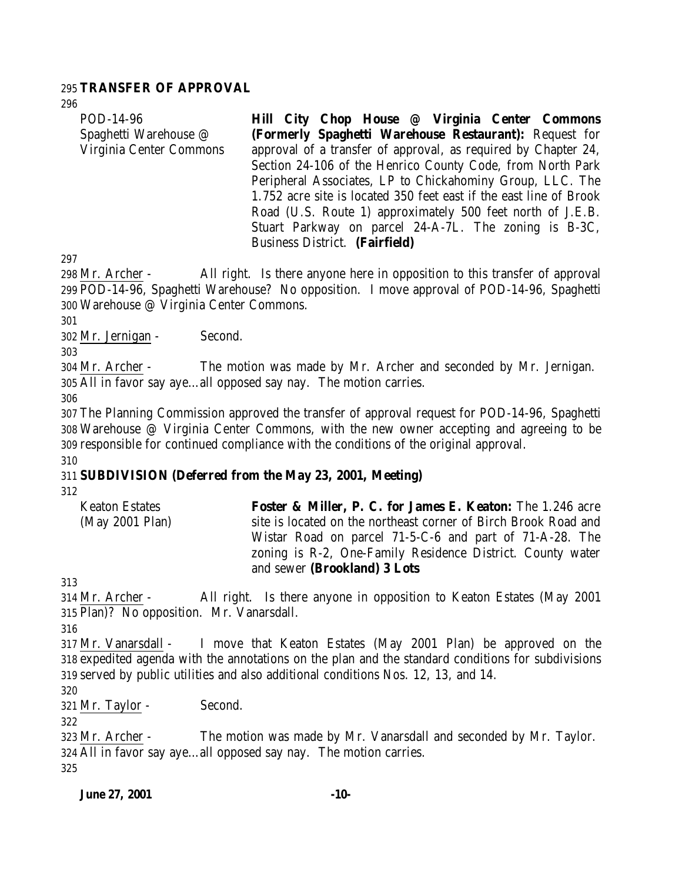#### **TRANSFER OF APPROVAL**

| POD-14-96               | Hill City Chop House @ Virginia Center Commons                     |
|-------------------------|--------------------------------------------------------------------|
| Spaghetti Warehouse @   | (Formerly Spaghetti Warehouse Restaurant): Request for             |
| Virginia Center Commons | approval of a transfer of approval, as required by Chapter 24,     |
|                         | Section 24-106 of the Henrico County Code, from North Park         |
|                         | Peripheral Associates, LP to Chickahominy Group, LLC. The          |
|                         | 1.752 acre site is located 350 feet east if the east line of Brook |
|                         | Road (U.S. Route 1) approximately 500 feet north of J.E.B.         |
|                         | Stuart Parkway on parcel 24-A-7L. The zoning is B-3C,              |

 Mr. Archer - All right. Is there anyone here in opposition to this transfer of approval POD-14-96, Spaghetti Warehouse? No opposition. I move approval of POD-14-96, Spaghetti Warehouse @ Virginia Center Commons.

Business District. **(Fairfield)**

Mr. Jernigan - Second.

 Mr. Archer - The motion was made by Mr. Archer and seconded by Mr. Jernigan. All in favor say aye…all opposed say nay. The motion carries.

 The Planning Commission approved the transfer of approval request for POD-14-96, Spaghetti Warehouse @ Virginia Center Commons, with the new owner accepting and agreeing to be responsible for continued compliance with the conditions of the original approval. 

## **SUBDIVISION (Deferred from the May 23, 2001, Meeting)**

Keaton Estates (May 2001 Plan) **Foster & Miller, P. C. for James E. Keaton:** The 1.246 acre site is located on the northeast corner of Birch Brook Road and Wistar Road on parcel 71-5-C-6 and part of 71-A-28. The zoning is R-2, One-Family Residence District. County water and sewer **(Brookland) 3 Lots**

 Mr. Archer - All right. Is there anyone in opposition to Keaton Estates (May 2001 Plan)? No opposition. Mr. Vanarsdall.

 Mr. Vanarsdall - I move that Keaton Estates (May 2001 Plan) be approved on the expedited agenda with the annotations on the plan and the standard conditions for subdivisions served by public utilities and also additional conditions Nos. 12, 13, and 14.

Mr. Taylor - Second.

 Mr. Archer - The motion was made by Mr. Vanarsdall and seconded by Mr. Taylor. All in favor say aye…all opposed say nay. The motion carries.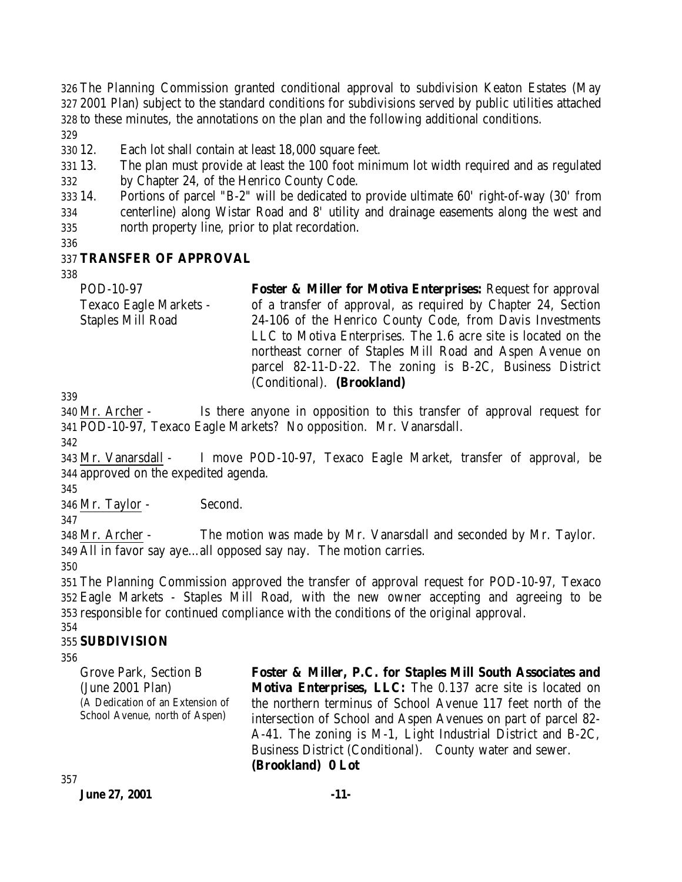326 The Planning Commission granted conditional approval to subdivision Keaton Estates (May 327 2001 Plan) subject to the standard conditions for subdivisions served by public utilities attached 328 to these minutes, the annotations on the plan and the following additional conditions.

329

330 12. Each lot shall contain at least 18,000 square feet.

331 13. The plan must provide at least the 100 foot minimum lot width required and as regulated 332 by Chapter 24, of the Henrico County Code.

333 14. Portions of parcel "B-2" will be dedicated to provide ultimate 60' right-of-way (30' from 334 centerline) along Wistar Road and 8' utility and drainage easements along the west and 335 north property line, prior to plat recordation.

336

#### 337 **TRANSFER OF APPROVAL**

338

POD-10-97 Texaco Eagle Markets - Staples Mill Road **Foster & Miller for Motiva Enterprises:** Request for approval of a transfer of approval, as required by Chapter 24, Section 24-106 of the Henrico County Code, from Davis Investments LLC to Motiva Enterprises. The 1.6 acre site is located on the northeast corner of Staples Mill Road and Aspen Avenue on parcel 82-11-D-22. The zoning is B-2C, Business District (Conditional). **(Brookland)**

339

340 Mr. Archer - Is there anyone in opposition to this transfer of approval request for 341 POD-10-97, Texaco Eagle Markets? No opposition. Mr. Vanarsdall.

342

343 Mr. Vanarsdall - I move POD-10-97, Texaco Eagle Market, transfer of approval, be 344 approved on the expedited agenda.

345

346 Mr. Taylor - Second.

347

348 Mr. Archer - The motion was made by Mr. Vanarsdall and seconded by Mr. Taylor. 349 All in favor say aye…all opposed say nay. The motion carries.

350

351 The Planning Commission approved the transfer of approval request for POD-10-97, Texaco 352 Eagle Markets - Staples Mill Road, with the new owner accepting and agreeing to be 353 responsible for continued compliance with the conditions of the original approval.

#### 354 355 **SUBDIVISION**

356

Grove Park, Section B (June 2001 Plan) (A Dedication of an Extension of School Avenue, north of Aspen)

**Foster & Miller, P.C. for Staples Mill South Associates and Motiva Enterprises, LLC:** The 0.137 acre site is located on the northern terminus of School Avenue 117 feet north of the intersection of School and Aspen Avenues on part of parcel 82- A-41. The zoning is M-1, Light Industrial District and B-2C, Business District (Conditional). County water and sewer. **(Brookland) 0 Lot**

357

**June 27, 2001 -11-**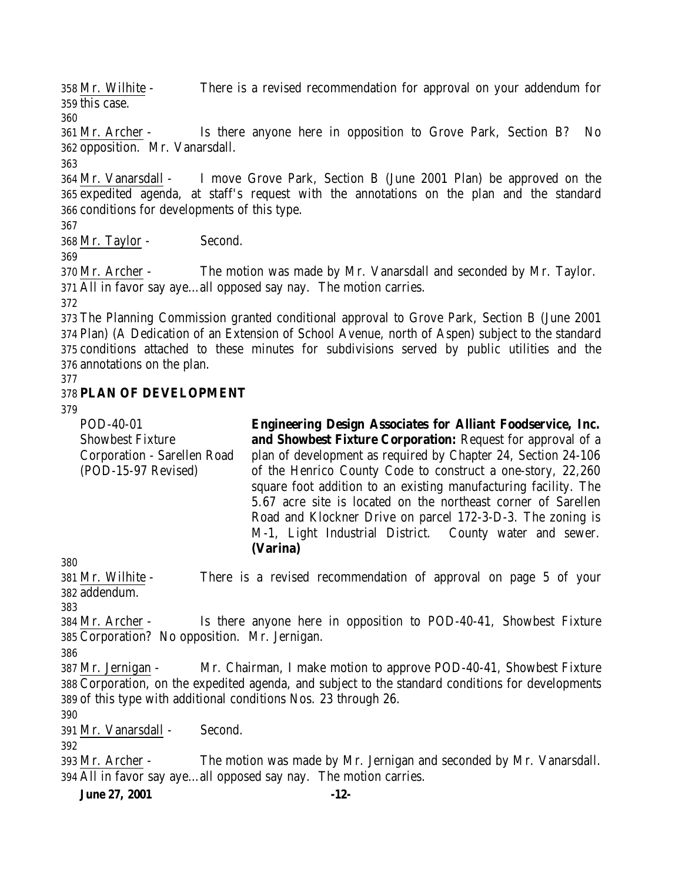Mr. Wilhite - There is a revised recommendation for approval on your addendum for this case.

 Mr. Archer - Is there anyone here in opposition to Grove Park, Section B? No opposition. Mr. Vanarsdall.

 Mr. Vanarsdall - I move Grove Park, Section B (June 2001 Plan) be approved on the expedited agenda, at staff's request with the annotations on the plan and the standard conditions for developments of this type.

Mr. Taylor - Second.

 Mr. Archer - The motion was made by Mr. Vanarsdall and seconded by Mr. Taylor. All in favor say aye…all opposed say nay. The motion carries.

 The Planning Commission granted conditional approval to Grove Park, Section B (June 2001 Plan) (A Dedication of an Extension of School Avenue, north of Aspen) subject to the standard conditions attached to these minutes for subdivisions served by public utilities and the annotations on the plan.

## **PLAN OF DEVELOPMENT**

POD-40-01 Showbest Fixture Corporation - Sarellen Road (POD-15-97 Revised) **Engineering Design Associates for Alliant Foodservice, Inc. and Showbest Fixture Corporation:** Request for approval of a plan of development as required by Chapter 24, Section 24-106 of the Henrico County Code to construct a one-story, 22,260 square foot addition to an existing manufacturing facility. The 5.67 acre site is located on the northeast corner of Sarellen Road and Klockner Drive on parcel 172-3-D-3. The zoning is M-1, Light Industrial District. County water and sewer. **(Varina)**

 Mr. Wilhite - There is a revised recommendation of approval on page 5 of your addendum.

 Mr. Archer - Is there anyone here in opposition to POD-40-41, Showbest Fixture Corporation? No opposition. Mr. Jernigan.

 Mr. Jernigan - Mr. Chairman, I make motion to approve POD-40-41, Showbest Fixture Corporation, on the expedited agenda, and subject to the standard conditions for developments of this type with additional conditions Nos. 23 through 26.

Mr. Vanarsdall - Second.

 Mr. Archer - The motion was made by Mr. Jernigan and seconded by Mr. Vanarsdall. All in favor say aye…all opposed say nay. The motion carries.

**June 27, 2001 -12-**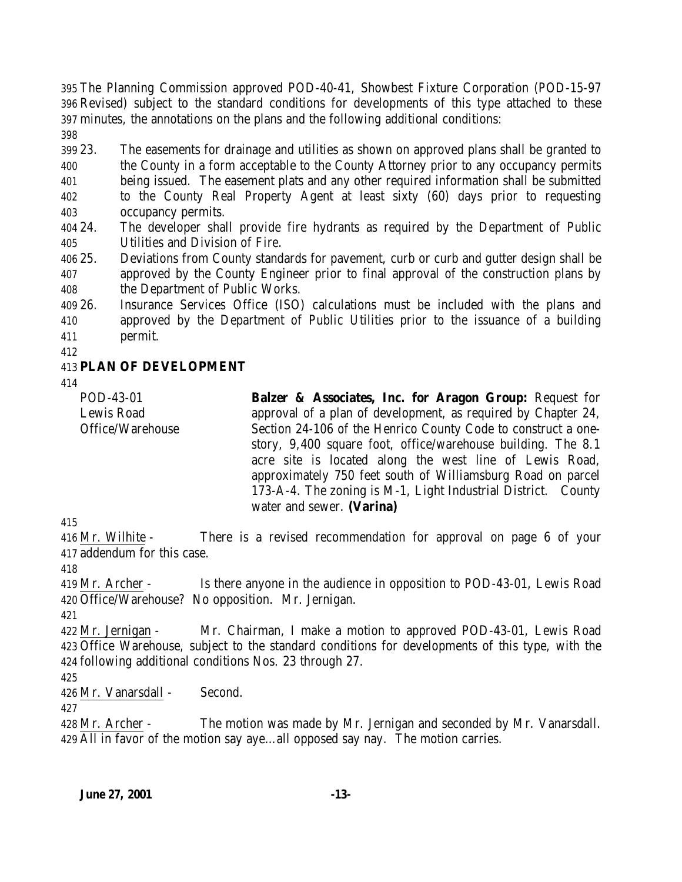The Planning Commission approved POD-40-41, Showbest Fixture Corporation (POD-15-97 Revised) subject to the standard conditions for developments of this type attached to these minutes, the annotations on the plans and the following additional conditions: 

 23. The easements for drainage and utilities as shown on approved plans shall be granted to the County in a form acceptable to the County Attorney prior to any occupancy permits being issued. The easement plats and any other required information shall be submitted to the County Real Property Agent at least sixty (60) days prior to requesting occupancy permits.

 24. The developer shall provide fire hydrants as required by the Department of Public Utilities and Division of Fire.

 25. Deviations from County standards for pavement, curb or curb and gutter design shall be approved by the County Engineer prior to final approval of the construction plans by the Department of Public Works.

 26. Insurance Services Office (ISO) calculations must be included with the plans and approved by the Department of Public Utilities prior to the issuance of a building permit.

### **PLAN OF DEVELOPMENT**

POD-43-01 Lewis Road Office/Warehouse **Balzer & Associates, Inc. for Aragon Group:** Request for approval of a plan of development, as required by Chapter 24, Section 24-106 of the Henrico County Code to construct a onestory, 9,400 square foot, office/warehouse building. The 8.1 acre site is located along the west line of Lewis Road, approximately 750 feet south of Williamsburg Road on parcel 173-A-4. The zoning is M-1, Light Industrial District. County water and sewer. **(Varina)**

 Mr. Wilhite - There is a revised recommendation for approval on page 6 of your addendum for this case.

 Mr. Archer - Is there anyone in the audience in opposition to POD-43-01, Lewis Road Office/Warehouse? No opposition. Mr. Jernigan.

 Mr. Jernigan - Mr. Chairman, I make a motion to approved POD-43-01, Lewis Road Office Warehouse, subject to the standard conditions for developments of this type, with the following additional conditions Nos. 23 through 27.

Mr. Vanarsdall - Second.

 Mr. Archer - The motion was made by Mr. Jernigan and seconded by Mr. Vanarsdall. All in favor of the motion say aye…all opposed say nay. The motion carries.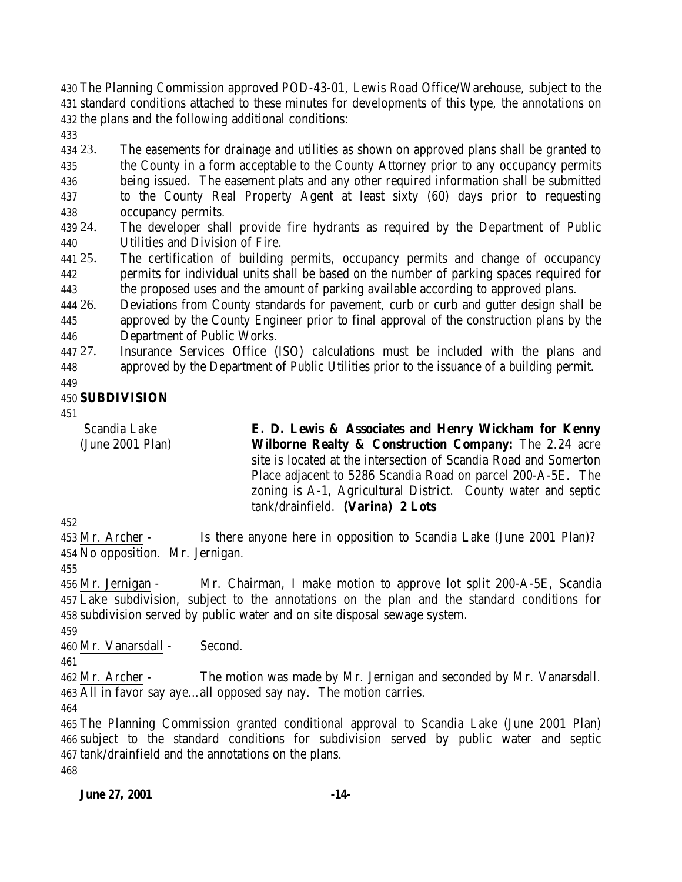The Planning Commission approved POD-43-01, Lewis Road Office/Warehouse, subject to the standard conditions attached to these minutes for developments of this type, the annotations on the plans and the following additional conditions:

 23. The easements for drainage and utilities as shown on approved plans shall be granted to the County in a form acceptable to the County Attorney prior to any occupancy permits being issued. The easement plats and any other required information shall be submitted to the County Real Property Agent at least sixty (60) days prior to requesting occupancy permits.

 24. The developer shall provide fire hydrants as required by the Department of Public Utilities and Division of Fire.

 25. The certification of building permits, occupancy permits and change of occupancy permits for individual units shall be based on the number of parking spaces required for the proposed uses and the amount of parking available according to approved plans.

 26. Deviations from County standards for pavement, curb or curb and gutter design shall be approved by the County Engineer prior to final approval of the construction plans by the Department of Public Works.

 27. Insurance Services Office (ISO) calculations must be included with the plans and approved by the Department of Public Utilities prior to the issuance of a building permit.

## **SUBDIVISION**

Scandia Lake (June 2001 Plan) **E. D. Lewis & Associates and Henry Wickham for Kenny Wilborne Realty & Construction Company:** The 2.24 acre site is located at the intersection of Scandia Road and Somerton Place adjacent to 5286 Scandia Road on parcel 200-A-5E. The zoning is A-1, Agricultural District. County water and septic tank/drainfield. **(Varina) 2 Lots**

 Mr. Archer - Is there anyone here in opposition to Scandia Lake (June 2001 Plan)? No opposition. Mr. Jernigan.

 Mr. Jernigan - Mr. Chairman, I make motion to approve lot split 200-A-5E, Scandia Lake subdivision, subject to the annotations on the plan and the standard conditions for subdivision served by public water and on site disposal sewage system.

Mr. Vanarsdall - Second.

 Mr. Archer - The motion was made by Mr. Jernigan and seconded by Mr. Vanarsdall. All in favor say aye…all opposed say nay. The motion carries.

 The Planning Commission granted conditional approval to Scandia Lake (June 2001 Plan) subject to the standard conditions for subdivision served by public water and septic tank/drainfield and the annotations on the plans.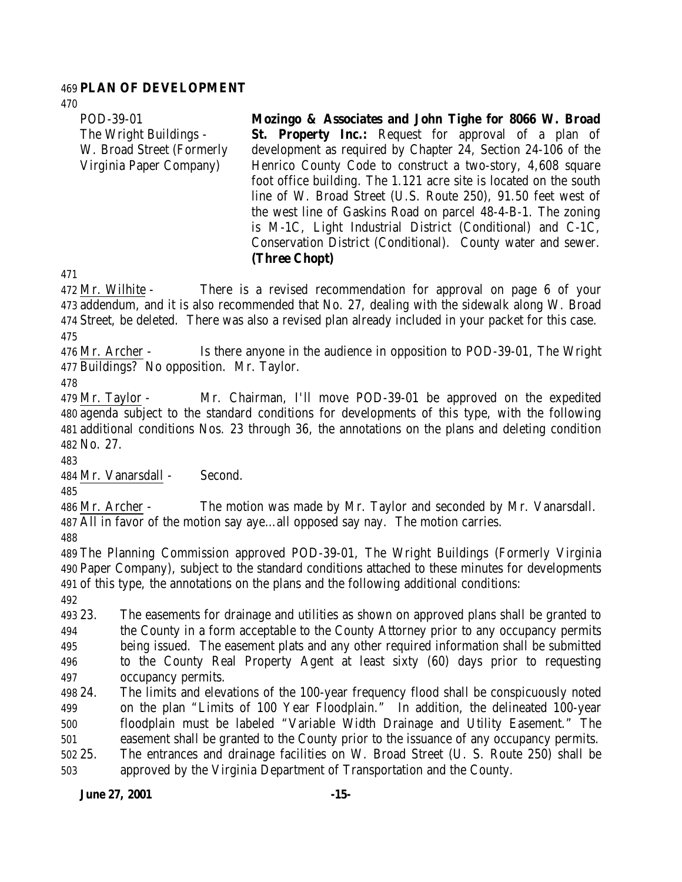#### **PLAN OF DEVELOPMENT**

POD-39-01 The Wright Buildings - W. Broad Street (Formerly Virginia Paper Company) **Mozingo & Associates and John Tighe for 8066 W. Broad St. Property Inc.:** Request for approval of a plan of development as required by Chapter 24, Section 24-106 of the Henrico County Code to construct a two-story, 4,608 square foot office building. The 1.121 acre site is located on the south line of W. Broad Street (U.S. Route 250), 91.50 feet west of the west line of Gaskins Road on parcel 48-4-B-1. The zoning is M-1C, Light Industrial District (Conditional) and C-1C, Conservation District (Conditional). County water and sewer.

**(Three Chopt)**

 Mr. Wilhite - There is a revised recommendation for approval on page 6 of your addendum, and it is also recommended that No. 27, dealing with the sidewalk along W. Broad Street, be deleted. There was also a revised plan already included in your packet for this case. 

 Mr. Archer - Is there anyone in the audience in opposition to POD-39-01, The Wright Buildings? No opposition. Mr. Taylor.

 Mr. Taylor - Mr. Chairman, I'll move POD-39-01 be approved on the expedited agenda subject to the standard conditions for developments of this type, with the following additional conditions Nos. 23 through 36, the annotations on the plans and deleting condition No. 27.

Mr. Vanarsdall - Second.

 Mr. Archer - The motion was made by Mr. Taylor and seconded by Mr. Vanarsdall. All in favor of the motion say aye…all opposed say nay. The motion carries.

 The Planning Commission approved POD-39-01, The Wright Buildings (Formerly Virginia Paper Company), subject to the standard conditions attached to these minutes for developments of this type, the annotations on the plans and the following additional conditions:

 23. The easements for drainage and utilities as shown on approved plans shall be granted to the County in a form acceptable to the County Attorney prior to any occupancy permits being issued. The easement plats and any other required information shall be submitted to the County Real Property Agent at least sixty (60) days prior to requesting occupancy permits.

 24. The limits and elevations of the 100-year frequency flood shall be conspicuously noted on the plan "Limits of 100 Year Floodplain." In addition, the delineated 100-year floodplain must be labeled "Variable Width Drainage and Utility Easement." The easement shall be granted to the County prior to the issuance of any occupancy permits. 25. The entrances and drainage facilities on W. Broad Street (U. S. Route 250) shall be

approved by the Virginia Department of Transportation and the County.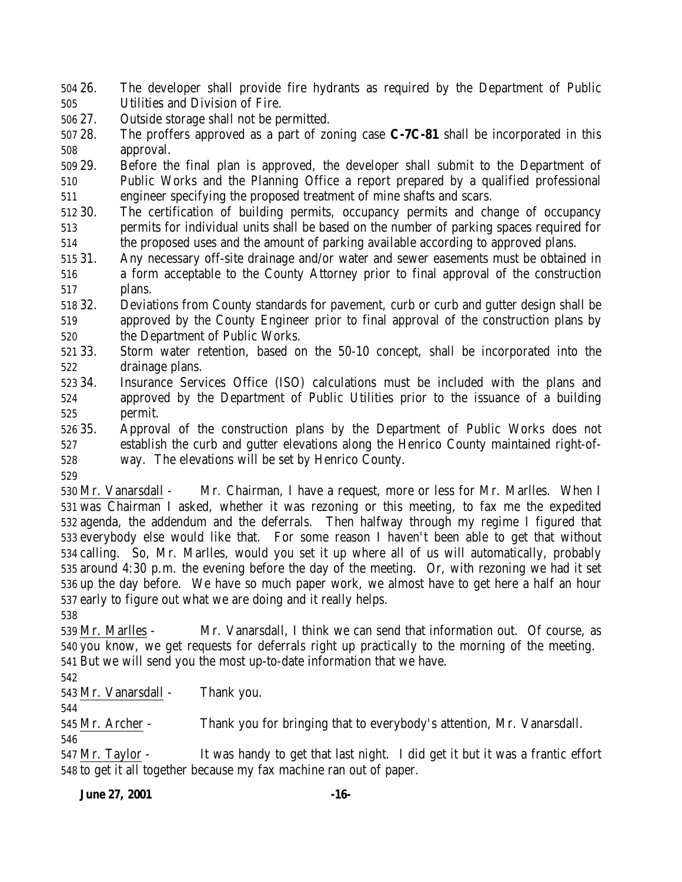26. The developer shall provide fire hydrants as required by the Department of Public Utilities and Division of Fire.

27. Outside storage shall not be permitted.

 28. The proffers approved as a part of zoning case **C-7C-81** shall be incorporated in this approval.

 29. Before the final plan is approved, the developer shall submit to the Department of Public Works and the Planning Office a report prepared by a qualified professional engineer specifying the proposed treatment of mine shafts and scars.

 30. The certification of building permits, occupancy permits and change of occupancy permits for individual units shall be based on the number of parking spaces required for the proposed uses and the amount of parking available according to approved plans.

 31. Any necessary off-site drainage and/or water and sewer easements must be obtained in a form acceptable to the County Attorney prior to final approval of the construction plans.

 32. Deviations from County standards for pavement, curb or curb and gutter design shall be approved by the County Engineer prior to final approval of the construction plans by the Department of Public Works.

 33. Storm water retention, based on the 50-10 concept, shall be incorporated into the drainage plans.

- 34. Insurance Services Office (ISO) calculations must be included with the plans and approved by the Department of Public Utilities prior to the issuance of a building permit.
- 35. Approval of the construction plans by the Department of Public Works does not establish the curb and gutter elevations along the Henrico County maintained right-of-way. The elevations will be set by Henrico County.
- 

 Mr. Vanarsdall - Mr. Chairman, I have a request, more or less for Mr. Marlles. When I was Chairman I asked, whether it was rezoning or this meeting, to fax me the expedited agenda, the addendum and the deferrals. Then halfway through my regime I figured that everybody else would like that. For some reason I haven't been able to get that without calling. So, Mr. Marlles, would you set it up where all of us will automatically, probably around 4:30 p.m. the evening before the day of the meeting. Or, with rezoning we had it set up the day before. We have so much paper work, we almost have to get here a half an hour early to figure out what we are doing and it really helps.

 Mr. Marlles - Mr. Vanarsdall, I think we can send that information out. Of course, as you know, we get requests for deferrals right up practically to the morning of the meeting. But we will send you the most up-to-date information that we have.

Mr. Vanarsdall - Thank you.

Mr. Archer - Thank you for bringing that to everybody's attention, Mr. Vanarsdall.

 Mr. Taylor - It was handy to get that last night. I did get it but it was a frantic effort to get it all together because my fax machine ran out of paper.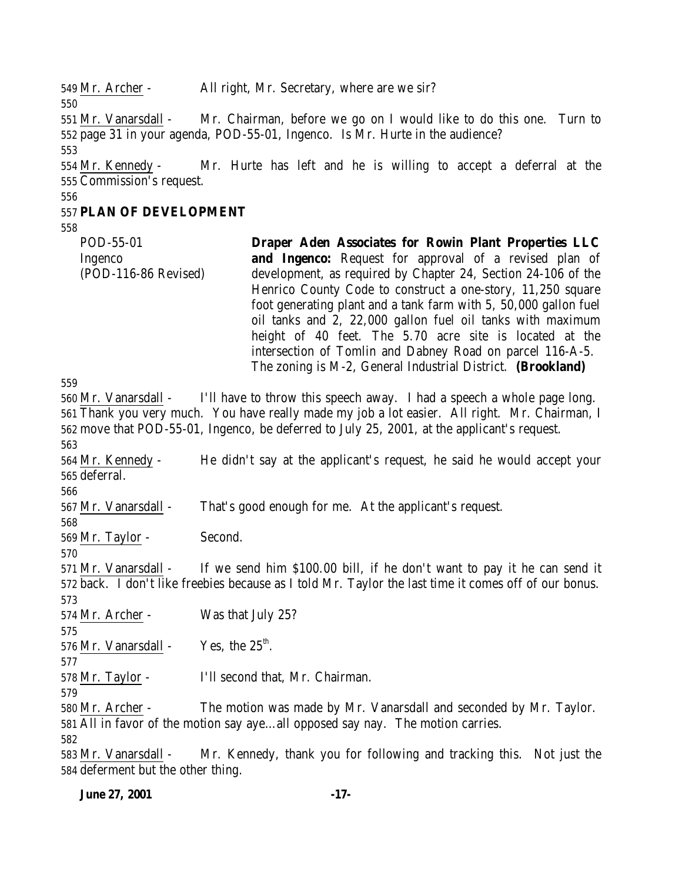Mr. Archer - All right, Mr. Secretary, where are we sir? Mr. Vanarsdall - Mr. Chairman, before we go on I would like to do this one. Turn to page 31 in your agenda, POD-55-01, Ingenco. Is Mr. Hurte in the audience? Mr. Kennedy - Mr. Hurte has left and he is willing to accept a deferral at the Commission's request. **PLAN OF DEVELOPMENT** POD-55-01 Ingenco (POD-116-86 Revised) **Draper Aden Associates for Rowin Plant Properties LLC and Ingenco:** Request for approval of a revised plan of development, as required by Chapter 24, Section 24-106 of the Henrico County Code to construct a one-story, 11,250 square foot generating plant and a tank farm with 5, 50,000 gallon fuel oil tanks and 2, 22,000 gallon fuel oil tanks with maximum height of 40 feet. The 5.70 acre site is located at the intersection of Tomlin and Dabney Road on parcel 116-A-5. The zoning is M-2, General Industrial District. **(Brookland)** Mr. Vanarsdall - I'll have to throw this speech away. I had a speech a whole page long. Thank you very much. You have really made my job a lot easier. All right. Mr. Chairman, I move that POD-55-01, Ingenco, be deferred to July 25, 2001, at the applicant's request. Mr. Kennedy - He didn't say at the applicant's request, he said he would accept your deferral. Mr. Vanarsdall - That's good enough for me. At the applicant's request. Mr. Taylor - Second. Mr. Vanarsdall - If we send him \$100.00 bill, if he don't want to pay it he can send it back. I don't like freebies because as I told Mr. Taylor the last time it comes off of our bonus. Mr. Archer - Was that July 25? 576 Mr. Vanarsdall - Yes, the  $25<sup>th</sup>$ . Mr. Taylor - I'll second that, Mr. Chairman. Mr. Archer - The motion was made by Mr. Vanarsdall and seconded by Mr. Taylor. All in favor of the motion say aye…all opposed say nay. The motion carries. Mr. Vanarsdall - Mr. Kennedy, thank you for following and tracking this. Not just the deferment but the other thing.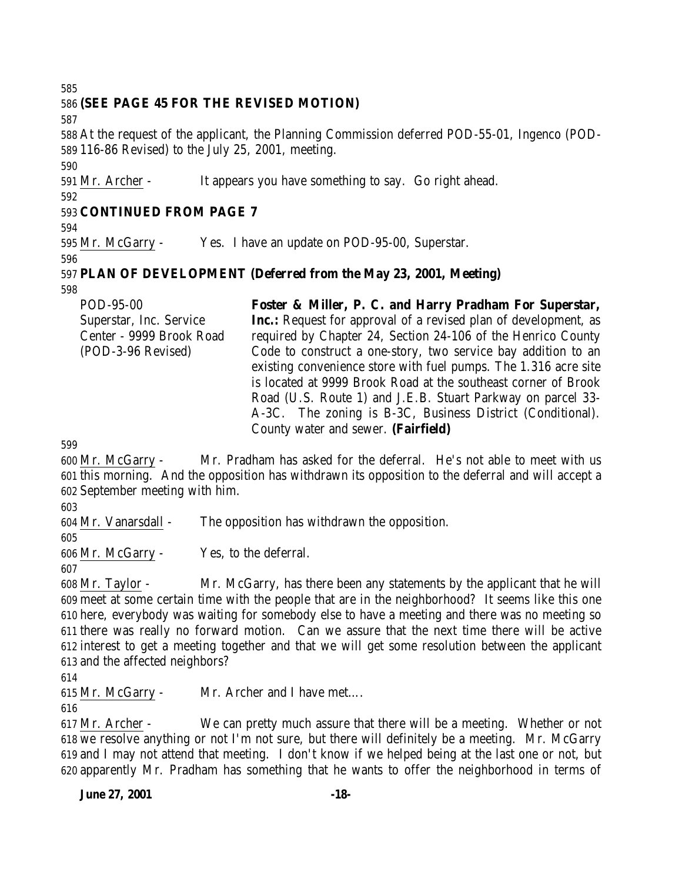## **(SEE PAGE 45 FOR THE REVISED MOTION)**

 At the request of the applicant, the Planning Commission deferred POD-55-01, Ingenco (POD-116-86 Revised) to the July 25, 2001, meeting.

Mr. Archer - It appears you have something to say. Go right ahead.

#### 

## **CONTINUED FROM PAGE 7**

Mr. McGarry - Yes. I have an update on POD-95-00, Superstar.

#### **PLAN OF DEVELOPMENT (Deferred from the May 23, 2001, Meeting)**

POD-95-00 Superstar, Inc. Service Center - 9999 Brook Road (POD-3-96 Revised) **Foster & Miller, P. C. and Harry Pradham For Superstar, Inc.:** Request for approval of a revised plan of development, as required by Chapter 24, Section 24-106 of the Henrico County Code to construct a one-story, two service bay addition to an existing convenience store with fuel pumps. The 1.316 acre site is located at 9999 Brook Road at the southeast corner of Brook Road (U.S. Route 1) and J.E.B. Stuart Parkway on parcel 33- A-3C. The zoning is B-3C, Business District (Conditional). County water and sewer. **(Fairfield)**

 Mr. McGarry - Mr. Pradham has asked for the deferral. He's not able to meet with us this morning. And the opposition has withdrawn its opposition to the deferral and will accept a September meeting with him.

Mr. Vanarsdall - The opposition has withdrawn the opposition.

Mr. McGarry - Yes, to the deferral.

 Mr. Taylor - Mr. McGarry, has there been any statements by the applicant that he will meet at some certain time with the people that are in the neighborhood? It seems like this one here, everybody was waiting for somebody else to have a meeting and there was no meeting so there was really no forward motion. Can we assure that the next time there will be active interest to get a meeting together and that we will get some resolution between the applicant and the affected neighbors?

Mr. McGarry - Mr. Archer and I have met….

 Mr. Archer - We can pretty much assure that there will be a meeting. Whether or not we resolve anything or not I'm not sure, but there will definitely be a meeting. Mr. McGarry and I may not attend that meeting. I don't know if we helped being at the last one or not, but apparently Mr. Pradham has something that he wants to offer the neighborhood in terms of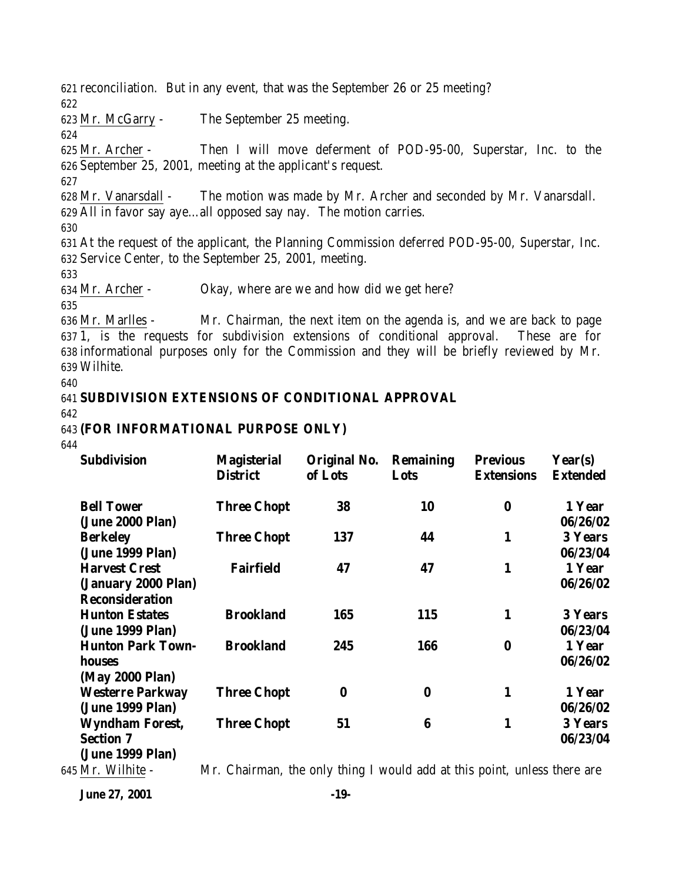reconciliation. But in any event, that was the September 26 or 25 meeting? 622 Mr. McGarry - The September 25 meeting. 624 Mr. Archer - Then I will move deferment of POD-95-00, Superstar, Inc. to the September 25, 2001, meeting at the applicant's request. 627 Mr. Vanarsdall - The motion was made by Mr. Archer and seconded by Mr. Vanarsdall. All in favor say aye…all opposed say nay. The motion carries. 630 At the request of the applicant, the Planning Commission deferred POD-95-00, Superstar, Inc. Service Center, to the September 25, 2001, meeting. 633 Mr. Archer - Okay, where are we and how did we get here? 635 Mr. Marlles - Mr. Chairman, the next item on the agenda is, and we are back to page

637 1, is the requests for subdivision extensions of conditional approval. These are for 638 informational purposes only for the Commission and they will be briefly reviewed by Mr. 639 Wilhite.

640

#### 641 **SUBDIVISION EXTENSIONS OF CONDITIONAL APPROVAL**

642

#### 643 **(FOR INFORMATIONAL PURPOSE ONLY)**

644

| <b>Subdivision</b>                                             | <b>Magisterial</b><br><b>District</b> | Original No.<br>of Lots | <b>Remaining</b><br>Lots | <b>Previous</b><br><b>Extensions</b> | Year(s)<br><b>Extended</b>     |
|----------------------------------------------------------------|---------------------------------------|-------------------------|--------------------------|--------------------------------------|--------------------------------|
| <b>Bell Tower</b><br>(June 2000 Plan)                          | <b>Three Chopt</b>                    | 38                      | 10                       | $\bf{0}$                             | 1 Year<br>06/26/02             |
| <b>Berkeley</b><br>(June 1999 Plan)                            | <b>Three Chopt</b>                    | 137                     | 44                       | 1                                    | <b>3 Years</b><br>06/23/04     |
| <b>Harvest Crest</b><br>(January 2000 Plan)                    | <b>Fairfield</b>                      | 47                      | 47                       | 1                                    | 1 Year<br>06/26/02             |
| <b>Reconsideration</b><br><b>Hunton Estates</b>                | <b>Brookland</b>                      | 165                     | <b>115</b>               | 1                                    | <b>3 Years</b>                 |
| (June 1999 Plan)<br><b>Hunton Park Town-</b><br>houses         | <b>Brookland</b>                      | 245                     | 166                      | $\bf{0}$                             | 06/23/04<br>1 Year<br>06/26/02 |
| (May 2000 Plan)<br><b>Westerre Parkway</b>                     | <b>Three Chopt</b>                    | $\bf{0}$                | $\bf{0}$                 | 1                                    | 1 Year                         |
| (June 1999 Plan)                                               |                                       |                         |                          |                                      | 06/26/02                       |
| <b>Wyndham Forest,</b><br><b>Section 7</b><br>(June 1999 Plan) | <b>Three Chopt</b>                    | 51                      | 6                        | 1                                    | <b>3 Years</b><br>06/23/04     |

645 Mr. Wilhite - Mr. Chairman, the only thing I would add at this point, unless there are

**June 27, 2001 -19-**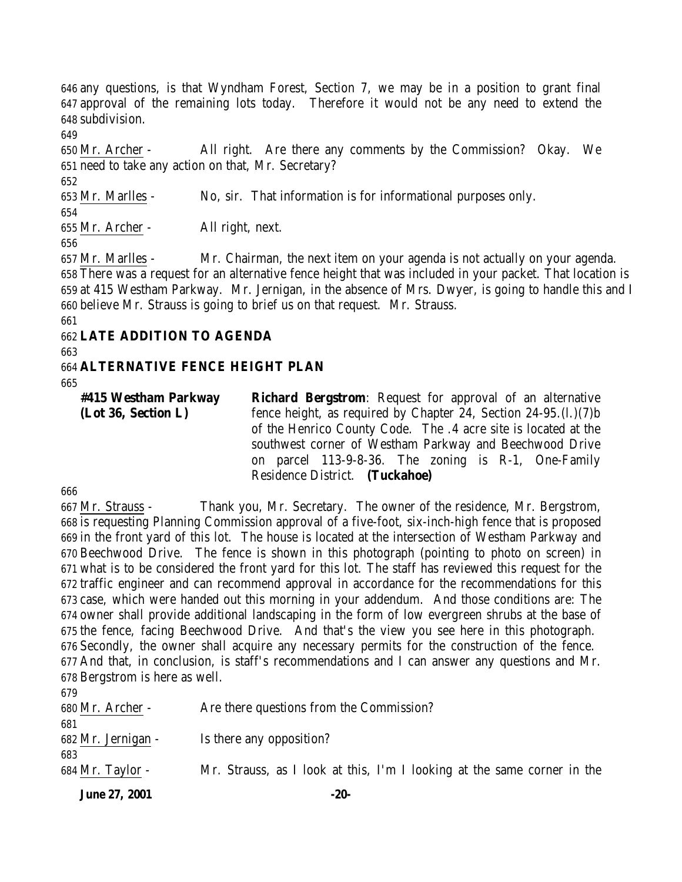any questions, is that Wyndham Forest, Section 7, we may be in a position to grant final approval of the remaining lots today. Therefore it would not be any need to extend the subdivision.

 Mr. Archer - All right. Are there any comments by the Commission? Okay. We need to take any action on that, Mr. Secretary?

 Mr. Marlles - No, sir. That information is for informational purposes only. Mr. Archer - All right, next.

 Mr. Marlles - Mr. Chairman, the next item on your agenda is not actually on your agenda. There was a request for an alternative fence height that was included in your packet. That location is at 415 Westham Parkway. Mr. Jernigan, in the absence of Mrs. Dwyer, is going to handle this and I believe Mr. Strauss is going to brief us on that request. Mr. Strauss.

## **LATE ADDITION TO AGENDA**

## **ALTERNATIVE FENCE HEIGHT PLAN**

**#415 Westham Parkway (Lot 36, Section L) Richard Bergstrom**: Request for approval of an alternative fence height, as required by Chapter 24, Section 24-95.(l.)(7)b of the Henrico County Code. The .4 acre site is located at the southwest corner of Westham Parkway and Beechwood Drive on parcel 113-9-8-36. The zoning is R-1, One-Family Residence District. **(Tuckahoe)**

 Mr. Strauss - Thank you, Mr. Secretary. The owner of the residence, Mr. Bergstrom, is requesting Planning Commission approval of a five-foot, six-inch-high fence that is proposed in the front yard of this lot. The house is located at the intersection of Westham Parkway and Beechwood Drive. The fence is shown in this photograph (pointing to photo on screen) in what is to be considered the front yard for this lot. The staff has reviewed this request for the traffic engineer and can recommend approval in accordance for the recommendations for this case, which were handed out this morning in your addendum. And those conditions are: The owner shall provide additional landscaping in the form of low evergreen shrubs at the base of the fence, facing Beechwood Drive. And that's the view you see here in this photograph. Secondly, the owner shall acquire any necessary permits for the construction of the fence. And that, in conclusion, is staff's recommendations and I can answer any questions and Mr. Bergstrom is here as well.

| 683<br>684 Mr. Taylor - | Mr. Strauss, as I look at this, I'm I looking at the same corner in the |
|-------------------------|-------------------------------------------------------------------------|
| 682 Mr. Jernigan -      | Is there any opposition?                                                |
| 680 Mr. Archer -<br>681 | Are there questions from the Commission?                                |
| 679                     |                                                                         |

**June 27, 2001 -20-**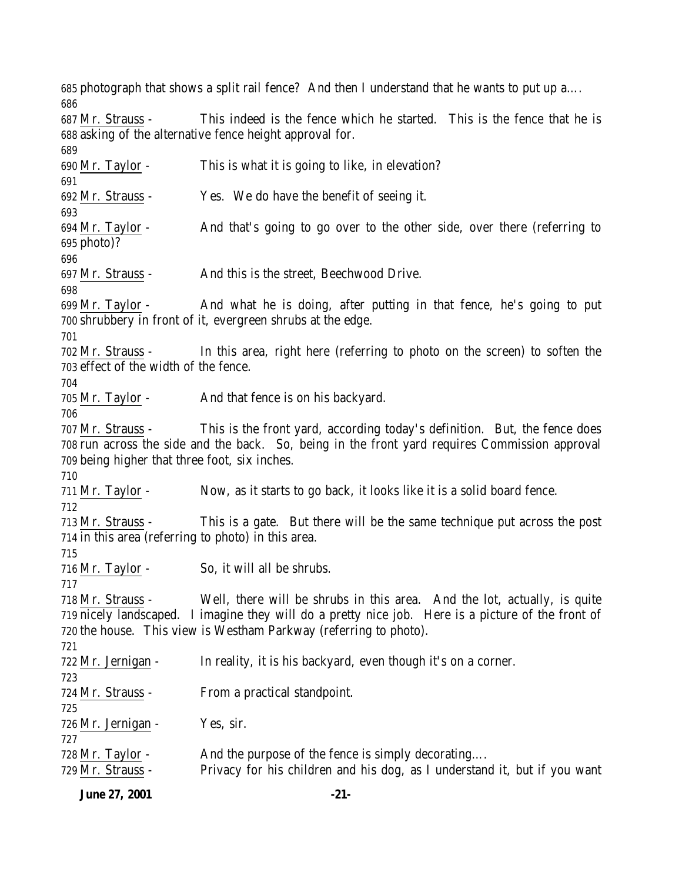photograph that shows a split rail fence? And then I understand that he wants to put up a…. Mr. Strauss - This indeed is the fence which he started. This is the fence that he is asking of the alternative fence height approval for. Mr. Taylor - This is what it is going to like, in elevation? Mr. Strauss - Yes. We do have the benefit of seeing it. Mr. Taylor - And that's going to go over to the other side, over there (referring to photo)? Mr. Strauss - And this is the street, Beechwood Drive. 699 Mr. Taylor - And what he is doing, after putting in that fence, he's going to put shrubbery in front of it, evergreen shrubs at the edge. Mr. Strauss - In this area, right here (referring to photo on the screen) to soften the effect of the width of the fence. 705 Mr. Taylor - And that fence is on his backyard. Mr. Strauss - This is the front yard, according today's definition. But, the fence does run across the side and the back. So, being in the front yard requires Commission approval being higher that three foot, six inches. Mr. Taylor - Now, as it starts to go back, it looks like it is a solid board fence. Mr. Strauss - This is a gate. But there will be the same technique put across the post in this area (referring to photo) in this area. Mr. Taylor - So, it will all be shrubs. Mr. Strauss - Well, there will be shrubs in this area. And the lot, actually, is quite nicely landscaped. I imagine they will do a pretty nice job. Here is a picture of the front of the house. This view is Westham Parkway (referring to photo). Mr. Jernigan - In reality, it is his backyard, even though it's on a corner. Mr. Strauss - From a practical standpoint. Mr. Jernigan - Yes, sir. 728 Mr. Taylor - And the purpose of the fence is simply decorating.... Mr. Strauss - Privacy for his children and his dog, as I understand it, but if you want

**June 27, 2001 -21-**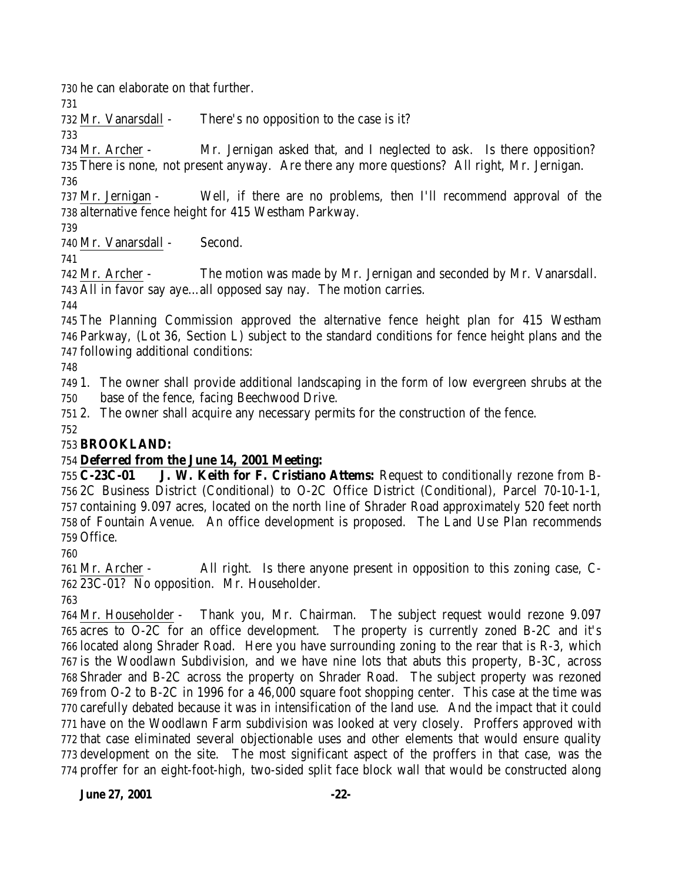he can elaborate on that further.

Mr. Vanarsdall - There's no opposition to the case is it?

 Mr. Archer - Mr. Jernigan asked that, and I neglected to ask. Is there opposition? There is none, not present anyway. Are there any more questions? All right, Mr. Jernigan.

 Mr. Jernigan - Well, if there are no problems, then I'll recommend approval of the alternative fence height for 415 Westham Parkway.

Mr. Vanarsdall - Second.

 Mr. Archer - The motion was made by Mr. Jernigan and seconded by Mr. Vanarsdall. All in favor say aye…all opposed say nay. The motion carries.

 The Planning Commission approved the alternative fence height plan for 415 Westham Parkway, (Lot 36, Section L) subject to the standard conditions for fence height plans and the following additional conditions:

 1. The owner shall provide additional landscaping in the form of low evergreen shrubs at the base of the fence, facing Beechwood Drive.

2. The owner shall acquire any necessary permits for the construction of the fence.

## **BROOKLAND:**

## **Deferred from the June 14, 2001 Meeting:**

 **C-23C-01 J. W. Keith for F. Cristiano Attems:** Request to conditionally rezone from B- 2C Business District (Conditional) to O-2C Office District (Conditional), Parcel 70-10-1-1, containing 9.097 acres, located on the north line of Shrader Road approximately 520 feet north of Fountain Avenue. An office development is proposed. The Land Use Plan recommends Office.

 Mr. Archer - All right. Is there anyone present in opposition to this zoning case, C-23C-01? No opposition. Mr. Householder.

 Mr. Householder - Thank you, Mr. Chairman. The subject request would rezone 9.097 acres to O-2C for an office development. The property is currently zoned B-2C and it's located along Shrader Road. Here you have surrounding zoning to the rear that is R-3, which is the Woodlawn Subdivision, and we have nine lots that abuts this property, B-3C, across Shrader and B-2C across the property on Shrader Road. The subject property was rezoned from O-2 to B-2C in 1996 for a 46,000 square foot shopping center. This case at the time was carefully debated because it was in intensification of the land use. And the impact that it could have on the Woodlawn Farm subdivision was looked at very closely. Proffers approved with that case eliminated several objectionable uses and other elements that would ensure quality development on the site. The most significant aspect of the proffers in that case, was the proffer for an eight-foot-high, two-sided split face block wall that would be constructed along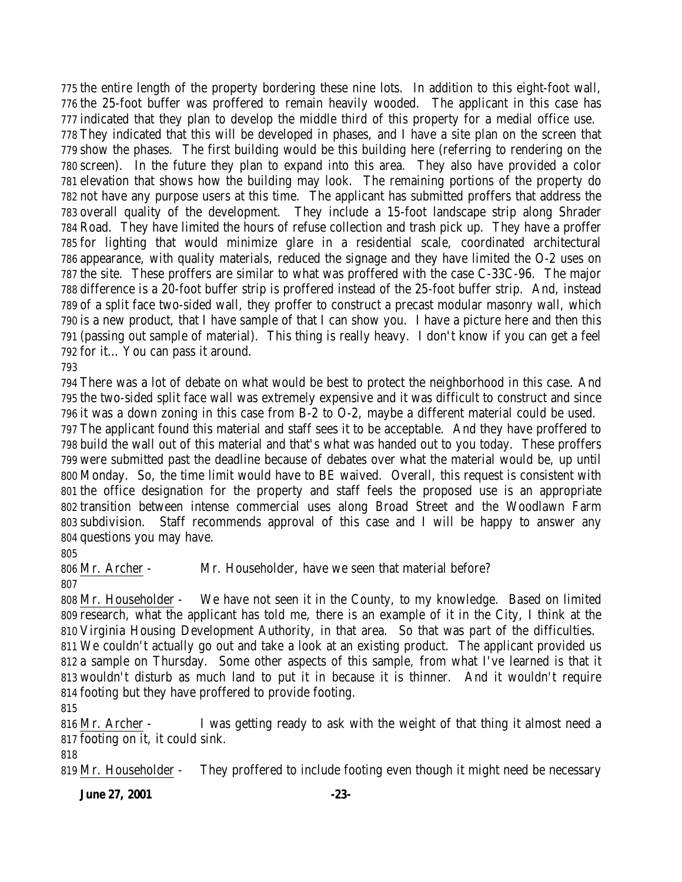the entire length of the property bordering these nine lots. In addition to this eight-foot wall, the 25-foot buffer was proffered to remain heavily wooded. The applicant in this case has indicated that they plan to develop the middle third of this property for a medial office use. They indicated that this will be developed in phases, and I have a site plan on the screen that show the phases. The first building would be this building here (referring to rendering on the screen). In the future they plan to expand into this area. They also have provided a color elevation that shows how the building may look. The remaining portions of the property do not have any purpose users at this time. The applicant has submitted proffers that address the overall quality of the development. They include a 15-foot landscape strip along Shrader Road. They have limited the hours of refuse collection and trash pick up. They have a proffer for lighting that would minimize glare in a residential scale, coordinated architectural appearance, with quality materials, reduced the signage and they have limited the O-2 uses on the site. These proffers are similar to what was proffered with the case C-33C-96. The major difference is a 20-foot buffer strip is proffered instead of the 25-foot buffer strip. And, instead of a split face two-sided wall, they proffer to construct a precast modular masonry wall, which is a new product, that I have sample of that I can show you. I have a picture here and then this (passing out sample of material). This thing is really heavy. I don't know if you can get a feel for it… You can pass it around.

 There was a lot of debate on what would be best to protect the neighborhood in this case. And the two-sided split face wall was extremely expensive and it was difficult to construct and since it was a down zoning in this case from B-2 to O-2, maybe a different material could be used. The applicant found this material and staff sees it to be acceptable. And they have proffered to build the wall out of this material and that's what was handed out to you today. These proffers were submitted past the deadline because of debates over what the material would be, up until Monday. So, the time limit would have to BE waived. Overall, this request is consistent with the office designation for the property and staff feels the proposed use is an appropriate transition between intense commercial uses along Broad Street and the Woodlawn Farm subdivision. Staff recommends approval of this case and I will be happy to answer any questions you may have.

Mr. Archer - Mr. Householder, have we seen that material before?

 Mr. Householder - We have not seen it in the County, to my knowledge. Based on limited research, what the applicant has told me, there is an example of it in the City, I think at the Virginia Housing Development Authority, in that area. So that was part of the difficulties.

 We couldn't actually go out and take a look at an existing product. The applicant provided us a sample on Thursday. Some other aspects of this sample, from what I've learned is that it wouldn't disturb as much land to put it in because it is thinner. And it wouldn't require footing but they have proffered to provide footing.

 Mr. Archer - I was getting ready to ask with the weight of that thing it almost need a footing on it, it could sink.

Mr. Householder - They proffered to include footing even though it might need be necessary

**June 27, 2001 -23-**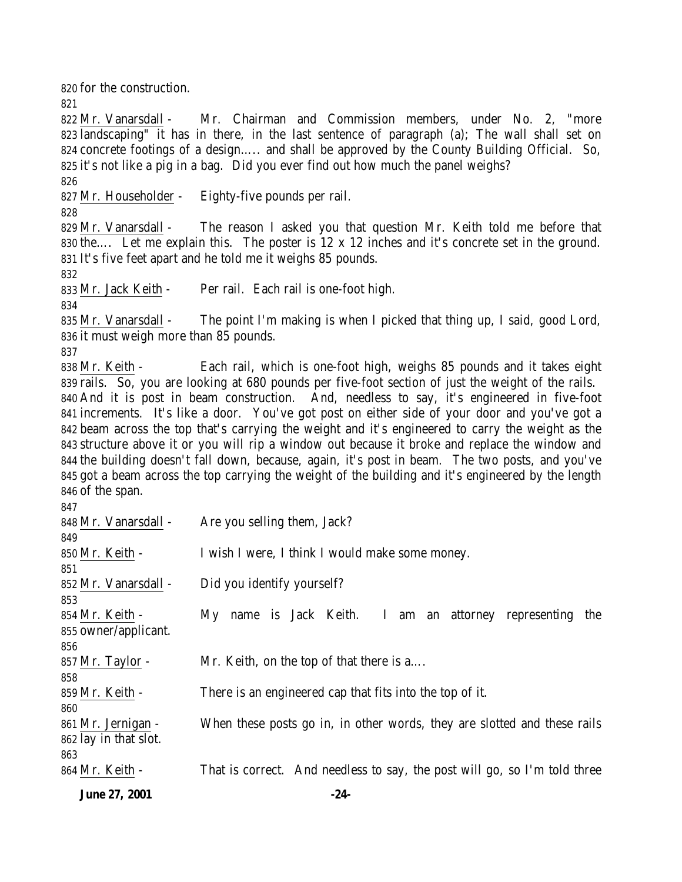**June 27, 2001 -24-** for the construction. Mr. Vanarsdall - Mr. Chairman and Commission members, under No. 2, "more landscaping" it has in there, in the last sentence of paragraph (a); The wall shall set on concrete footings of a design….. and shall be approved by the County Building Official. So, it's not like a pig in a bag. Did you ever find out how much the panel weighs? Mr. Householder - Eighty-five pounds per rail. Mr. Vanarsdall - The reason I asked you that question Mr. Keith told me before that the…. Let me explain this. The poster is 12 x 12 inches and it's concrete set in the ground. It's five feet apart and he told me it weighs 85 pounds. Mr. Jack Keith - Per rail. Each rail is one-foot high. Mr. Vanarsdall - The point I'm making is when I picked that thing up, I said, good Lord, it must weigh more than 85 pounds. 838 Mr. Keith - Each rail, which is one-foot high, weighs 85 pounds and it takes eight rails. So, you are looking at 680 pounds per five-foot section of just the weight of the rails. And it is post in beam construction. And, needless to say, it's engineered in five-foot increments. It's like a door. You've got post on either side of your door and you've got a beam across the top that's carrying the weight and it's engineered to carry the weight as the structure above it or you will rip a window out because it broke and replace the window and the building doesn't fall down, because, again, it's post in beam. The two posts, and you've got a beam across the top carrying the weight of the building and it's engineered by the length of the span. Mr. Vanarsdall - Are you selling them, Jack? 850 Mr. Keith - I wish I were, I think I would make some money. Mr. Vanarsdall - Did you identify yourself? Mr. Keith - My name is Jack Keith. I am an attorney representing the owner/applicant. 857 Mr. Taylor - Mr. Keith, on the top of that there is a.... Mr. Keith - There is an engineered cap that fits into the top of it. Mr. Jernigan - When these posts go in, in other words, they are slotted and these rails lay in that slot. Mr. Keith - That is correct. And needless to say, the post will go, so I'm told three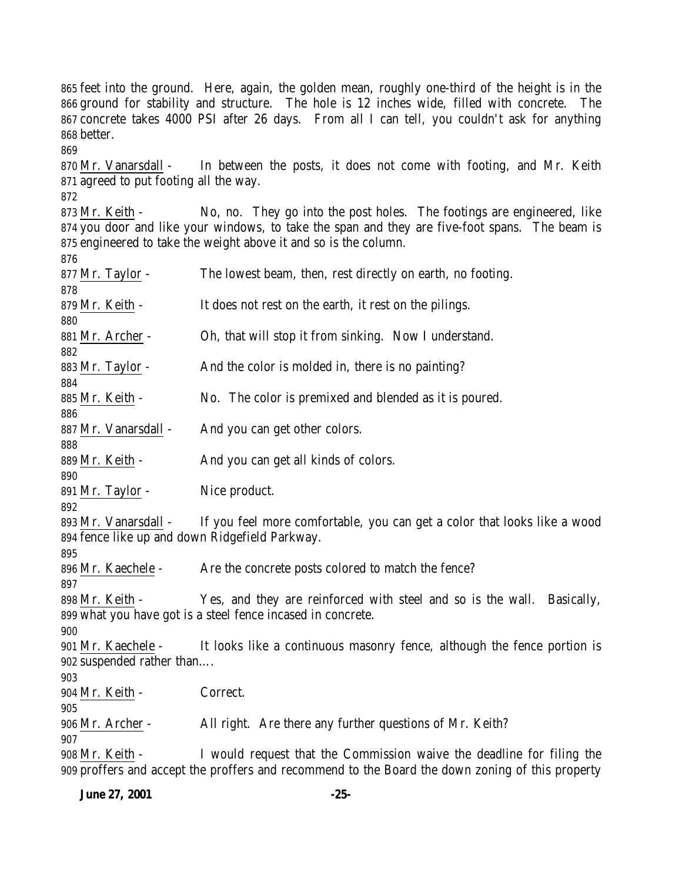feet into the ground. Here, again, the golden mean, roughly one-third of the height is in the ground for stability and structure. The hole is 12 inches wide, filled with concrete. The concrete takes 4000 PSI after 26 days. From all I can tell, you couldn't ask for anything better. Mr. Vanarsdall - In between the posts, it does not come with footing, and Mr. Keith agreed to put footing all the way. Mr. Keith - No, no. They go into the post holes. The footings are engineered, like you door and like your windows, to take the span and they are five-foot spans. The beam is engineered to take the weight above it and so is the column. Mr. Taylor - The lowest beam, then, rest directly on earth, no footing. 879 Mr. Keith - It does not rest on the earth, it rest on the pilings. Mr. Archer - Oh, that will stop it from sinking. Now I understand. 883 Mr. Taylor - And the color is molded in, there is no painting? 885 Mr. Keith - No. The color is premixed and blended as it is poured. 887 Mr. Vanarsdall - And you can get other colors. 889 Mr. Keith - And you can get all kinds of colors. Mr. Taylor - Nice product. Mr. Vanarsdall - If you feel more comfortable, you can get a color that looks like a wood fence like up and down Ridgefield Parkway. 896 Mr. Kaechele - Are the concrete posts colored to match the fence? Mr. Keith - Yes, and they are reinforced with steel and so is the wall. Basically, what you have got is a steel fence incased in concrete. Mr. Kaechele - It looks like a continuous masonry fence, although the fence portion is suspended rather than…. Mr. Keith - Correct. Mr. Archer - All right. Are there any further questions of Mr. Keith? Mr. Keith - I would request that the Commission waive the deadline for filing the proffers and accept the proffers and recommend to the Board the down zoning of this property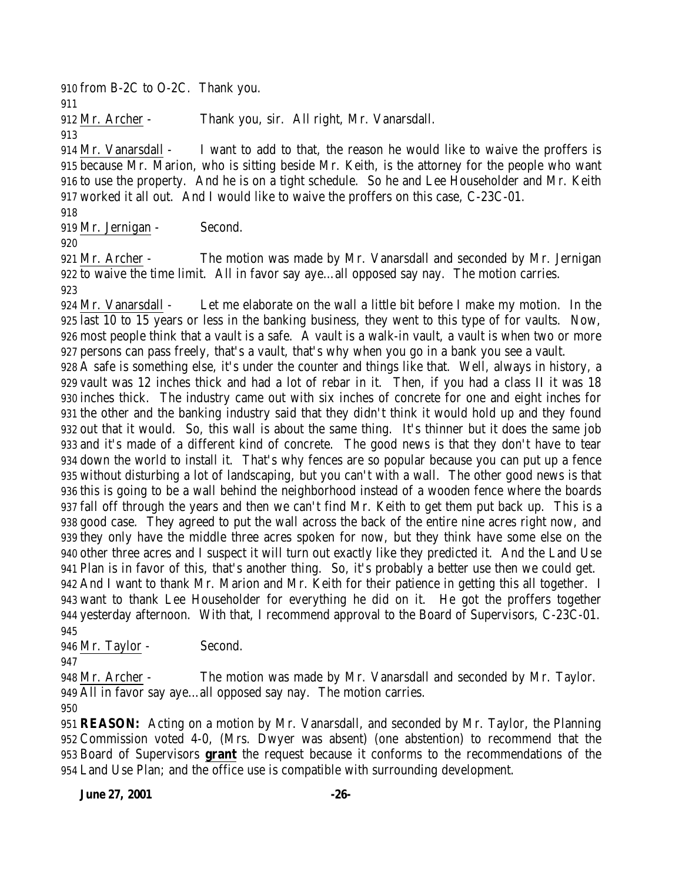from B-2C to O-2C. Thank you.

Mr. Archer - Thank you, sir. All right, Mr. Vanarsdall.

 Mr. Vanarsdall - I want to add to that, the reason he would like to waive the proffers is because Mr. Marion, who is sitting beside Mr. Keith, is the attorney for the people who want to use the property. And he is on a tight schedule. So he and Lee Householder and Mr. Keith worked it all out. And I would like to waive the proffers on this case, C-23C-01.

Mr. Jernigan - Second.

 Mr. Archer - The motion was made by Mr. Vanarsdall and seconded by Mr. Jernigan to waive the time limit. All in favor say aye…all opposed say nay. The motion carries. 

 Mr. Vanarsdall - Let me elaborate on the wall a little bit before I make my motion. In the last 10 to 15 years or less in the banking business, they went to this type of for vaults. Now, most people think that a vault is a safe. A vault is a walk-in vault, a vault is when two or more persons can pass freely, that's a vault, that's why when you go in a bank you see a vault.

 A safe is something else, it's under the counter and things like that. Well, always in history, a vault was 12 inches thick and had a lot of rebar in it. Then, if you had a class II it was 18 inches thick. The industry came out with six inches of concrete for one and eight inches for the other and the banking industry said that they didn't think it would hold up and they found out that it would. So, this wall is about the same thing. It's thinner but it does the same job and it's made of a different kind of concrete. The good news is that they don't have to tear down the world to install it. That's why fences are so popular because you can put up a fence without disturbing a lot of landscaping, but you can't with a wall. The other good news is that this is going to be a wall behind the neighborhood instead of a wooden fence where the boards fall off through the years and then we can't find Mr. Keith to get them put back up. This is a good case. They agreed to put the wall across the back of the entire nine acres right now, and they only have the middle three acres spoken for now, but they think have some else on the other three acres and I suspect it will turn out exactly like they predicted it. And the Land Use Plan is in favor of this, that's another thing. So, it's probably a better use then we could get. And I want to thank Mr. Marion and Mr. Keith for their patience in getting this all together. I want to thank Lee Householder for everything he did on it. He got the proffers together yesterday afternoon. With that, I recommend approval to the Board of Supervisors, C-23C-01. 

 Mr. Taylor - Second. 

 Mr. Archer - The motion was made by Mr. Vanarsdall and seconded by Mr. Taylor. All in favor say aye…all opposed say nay. The motion carries.

 **REASON:** Acting on a motion by Mr. Vanarsdall, and seconded by Mr. Taylor, the Planning Commission voted 4-0, (Mrs. Dwyer was absent) (one abstention) to recommend that the Board of Supervisors **grant** the request because it conforms to the recommendations of the Land Use Plan; and the office use is compatible with surrounding development.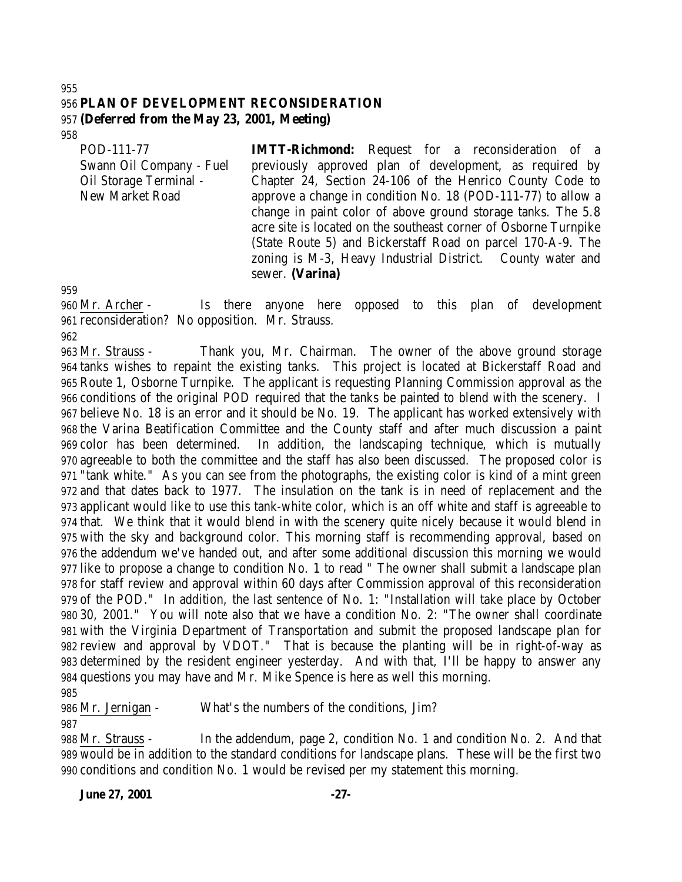#### **PLAN OF DEVELOPMENT RECONSIDERATION (Deferred from the May 23, 2001, Meeting)**

POD-111-77 Swann Oil Company - Fuel Oil Storage Terminal - New Market Road

**IMTT-Richmond:** Request for a reconsideration of a previously approved plan of development, as required by Chapter 24, Section 24-106 of the Henrico County Code to approve a change in condition No. 18 (POD-111-77) to allow a change in paint color of above ground storage tanks. The 5.8 acre site is located on the southeast corner of Osborne Turnpike (State Route 5) and Bickerstaff Road on parcel 170-A-9. The zoning is M-3, Heavy Industrial District. County water and sewer. **(Varina)**

 Mr. Archer - Is there anyone here opposed to this plan of development reconsideration? No opposition. Mr. Strauss.

 Mr. Strauss - Thank you, Mr. Chairman. The owner of the above ground storage tanks wishes to repaint the existing tanks. This project is located at Bickerstaff Road and Route 1, Osborne Turnpike. The applicant is requesting Planning Commission approval as the conditions of the original POD required that the tanks be painted to blend with the scenery. I believe No. 18 is an error and it should be No. 19. The applicant has worked extensively with the Varina Beatification Committee and the County staff and after much discussion a paint color has been determined. In addition, the landscaping technique, which is mutually agreeable to both the committee and the staff has also been discussed. The proposed color is "tank white." As you can see from the photographs, the existing color is kind of a mint green and that dates back to 1977. The insulation on the tank is in need of replacement and the applicant would like to use this tank-white color, which is an off white and staff is agreeable to that. We think that it would blend in with the scenery quite nicely because it would blend in with the sky and background color. This morning staff is recommending approval, based on the addendum we've handed out, and after some additional discussion this morning we would like to propose a change to condition No. 1 to read " The owner shall submit a landscape plan for staff review and approval within 60 days after Commission approval of this reconsideration of the POD." In addition, the last sentence of No. 1: "Installation will take place by October 30, 2001." You will note also that we have a condition No. 2: "The owner shall coordinate with the Virginia Department of Transportation and submit the proposed landscape plan for review and approval by VDOT." That is because the planting will be in right-of-way as determined by the resident engineer yesterday. And with that, I'll be happy to answer any questions you may have and Mr. Mike Spence is here as well this morning. 

Mr. Jernigan - What's the numbers of the conditions, Jim?

 Mr. Strauss - In the addendum, page 2, condition No. 1 and condition No. 2. And that would be in addition to the standard conditions for landscape plans. These will be the first two conditions and condition No. 1 would be revised per my statement this morning.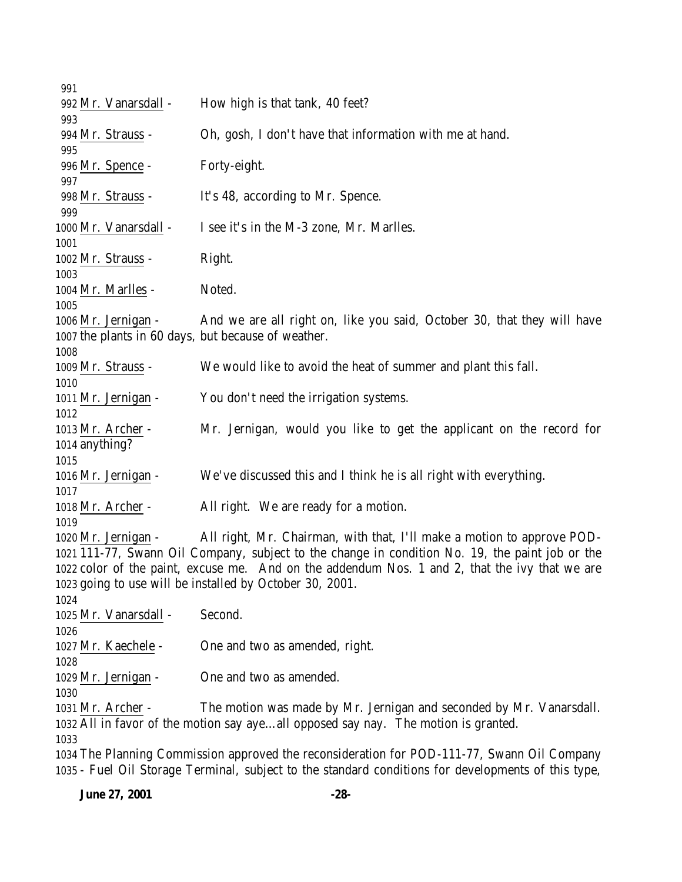| 991                                                                                                 |                                                                                                 |  |  |
|-----------------------------------------------------------------------------------------------------|-------------------------------------------------------------------------------------------------|--|--|
| 992 Mr. Vanarsdall -                                                                                | How high is that tank, 40 feet?                                                                 |  |  |
| 993                                                                                                 |                                                                                                 |  |  |
| 994 Mr. Strauss -                                                                                   | Oh, gosh, I don't have that information with me at hand.                                        |  |  |
| 995                                                                                                 |                                                                                                 |  |  |
| 996 Mr. Spence -                                                                                    | Forty-eight.                                                                                    |  |  |
| 997                                                                                                 |                                                                                                 |  |  |
| 998 Mr. Strauss -                                                                                   | It's 48, according to Mr. Spence.                                                               |  |  |
| 999                                                                                                 |                                                                                                 |  |  |
| 1000 Mr. Vanarsdall -                                                                               | I see it's in the M-3 zone, Mr. Marlles.                                                        |  |  |
| 1001                                                                                                |                                                                                                 |  |  |
| 1002 Mr. Strauss -                                                                                  | Right.                                                                                          |  |  |
| 1003                                                                                                |                                                                                                 |  |  |
| 1004 Mr. Marlles -                                                                                  | Noted.                                                                                          |  |  |
| 1005                                                                                                |                                                                                                 |  |  |
| 1006 Mr. Jernigan -                                                                                 | And we are all right on, like you said, October 30, that they will have                         |  |  |
| 1007 the plants in 60 days, but because of weather.                                                 |                                                                                                 |  |  |
| 1008                                                                                                |                                                                                                 |  |  |
| 1009 Mr. Strauss -                                                                                  | We would like to avoid the heat of summer and plant this fall.                                  |  |  |
| 1010                                                                                                |                                                                                                 |  |  |
| 1011 Mr. Jernigan -                                                                                 | You don't need the irrigation systems.                                                          |  |  |
| 1012                                                                                                |                                                                                                 |  |  |
| 1013 Mr. Archer -                                                                                   | Mr. Jernigan, would you like to get the applicant on the record for                             |  |  |
| 1014 anything?                                                                                      |                                                                                                 |  |  |
| 1015                                                                                                |                                                                                                 |  |  |
| 1016 Mr. Jernigan -                                                                                 | We've discussed this and I think he is all right with everything.                               |  |  |
| 1017                                                                                                |                                                                                                 |  |  |
| 1018 Mr. Archer -                                                                                   | All right. We are ready for a motion.                                                           |  |  |
| 1019                                                                                                |                                                                                                 |  |  |
|                                                                                                     | All right, Mr. Chairman, with that, I'll make a motion to approve POD-                          |  |  |
| 1020 Mr. Jernigan -                                                                                 |                                                                                                 |  |  |
|                                                                                                     | 1021 111-77, Swann Oil Company, subject to the change in condition No. 19, the paint job or the |  |  |
|                                                                                                     | 1022 color of the paint, excuse me. And on the addendum Nos. 1 and 2, that the ivy that we are  |  |  |
|                                                                                                     | 1023 going to use will be installed by October 30, 2001.                                        |  |  |
| 1024                                                                                                |                                                                                                 |  |  |
| 1025 Mr. Vanarsdall -                                                                               | Second.                                                                                         |  |  |
| 1026                                                                                                |                                                                                                 |  |  |
| 1027 Mr. Kaechele -                                                                                 | One and two as amended, right.                                                                  |  |  |
| 1028                                                                                                |                                                                                                 |  |  |
| 1029 Mr. Jernigan -                                                                                 | One and two as amended.                                                                         |  |  |
| 1030                                                                                                |                                                                                                 |  |  |
| 1031 Mr. Archer -                                                                                   | The motion was made by Mr. Jernigan and seconded by Mr. Vanarsdall.                             |  |  |
|                                                                                                     | 1032 All in favor of the motion say ayeall opposed say nay. The motion is granted.              |  |  |
| 1033                                                                                                |                                                                                                 |  |  |
|                                                                                                     | 1034 The Planning Commission approved the reconsideration for POD-111-77, Swann Oil Company     |  |  |
| 1035 - Fuel Oil Storage Terminal, subject to the standard conditions for developments of this type, |                                                                                                 |  |  |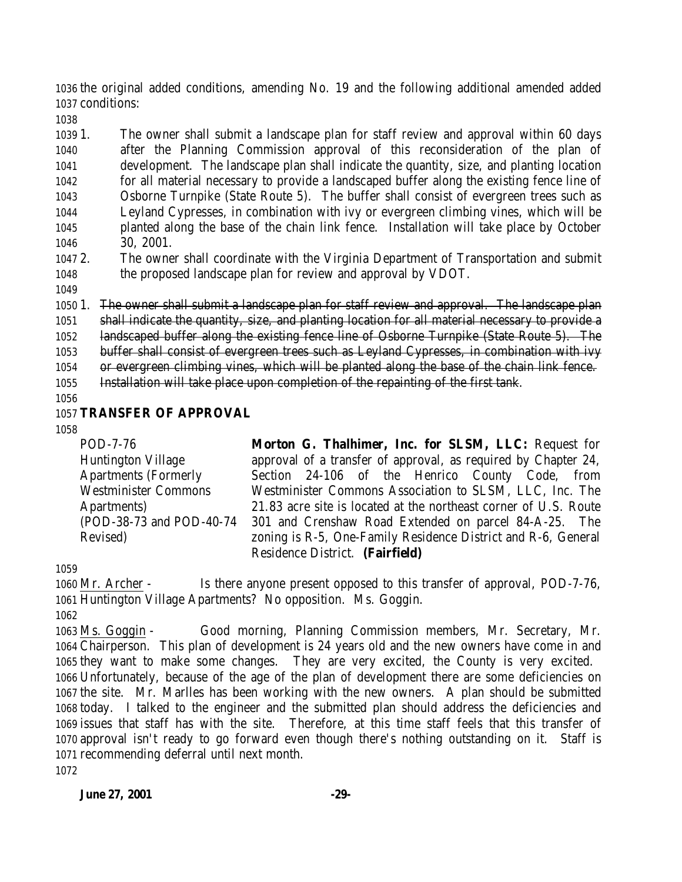the original added conditions, amending No. 19 and the following additional amended added conditions:

 1. The owner shall submit a landscape plan for staff review and approval within 60 days after the Planning Commission approval of this reconsideration of the plan of development. The landscape plan shall indicate the quantity, size, and planting location for all material necessary to provide a landscaped buffer along the existing fence line of Osborne Turnpike (State Route 5). The buffer shall consist of evergreen trees such as Leyland Cypresses, in combination with ivy or evergreen climbing vines, which will be planted along the base of the chain link fence. Installation will take place by October 30, 2001.

 2. The owner shall coordinate with the Virginia Department of Transportation and submit the proposed landscape plan for review and approval by VDOT.

 1. The owner shall submit a landscape plan for staff review and approval. The landscape plan shall indicate the quantity, size, and planting location for all material necessary to provide a landscaped buffer along the existing fence line of Osborne Turnpike (State Route 5). The buffer shall consist of evergreen trees such as Leyland Cypresses, in combination with ivy or evergreen climbing vines, which will be planted along the base of the chain link fence. Installation will take place upon completion of the repainting of the first tank.

## **TRANSFER OF APPROVAL**

POD-7-76

Revised)

Huntington Village Apartments (Formerly Westminister Commons Apartments) (POD-38-73 and POD-40-74 **Morton G. Thalhimer, Inc. for SLSM, LLC:** Request for approval of a transfer of approval, as required by Chapter 24, Section 24-106 of the Henrico County Code, from Westminister Commons Association to SLSM, LLC, Inc. The 21.83 acre site is located at the northeast corner of U.S. Route 301 and Crenshaw Road Extended on parcel 84-A-25. The zoning is R-5, One-Family Residence District and R-6, General Residence District. **(Fairfield)**

 Mr. Archer - Is there anyone present opposed to this transfer of approval, POD-7-76, Huntington Village Apartments? No opposition. Ms. Goggin.

 Ms. Goggin - Good morning, Planning Commission members, Mr. Secretary, Mr. Chairperson. This plan of development is 24 years old and the new owners have come in and they want to make some changes. They are very excited, the County is very excited. Unfortunately, because of the age of the plan of development there are some deficiencies on the site. Mr. Marlles has been working with the new owners. A plan should be submitted today. I talked to the engineer and the submitted plan should address the deficiencies and issues that staff has with the site. Therefore, at this time staff feels that this transfer of approval isn't ready to go forward even though there's nothing outstanding on it. Staff is recommending deferral until next month.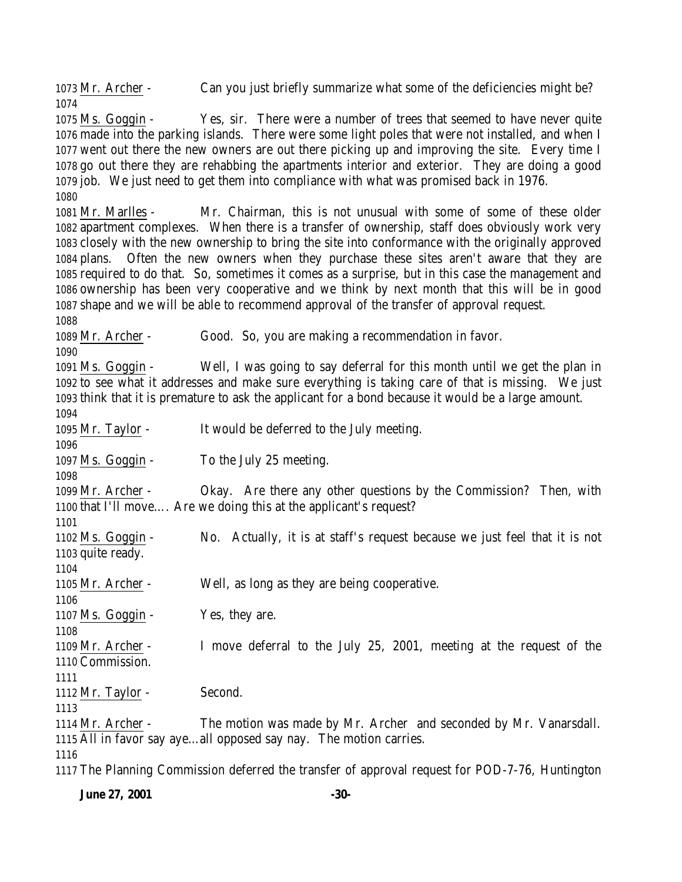Mr. Archer - Can you just briefly summarize what some of the deficiencies might be? 

 Ms. Goggin - Yes, sir. There were a number of trees that seemed to have never quite made into the parking islands. There were some light poles that were not installed, and when I went out there the new owners are out there picking up and improving the site. Every time I go out there they are rehabbing the apartments interior and exterior. They are doing a good job. We just need to get them into compliance with what was promised back in 1976. 

 Mr. Marlles - Mr. Chairman, this is not unusual with some of some of these older apartment complexes. When there is a transfer of ownership, staff does obviously work very closely with the new ownership to bring the site into conformance with the originally approved plans. Often the new owners when they purchase these sites aren't aware that they are required to do that. So, sometimes it comes as a surprise, but in this case the management and ownership has been very cooperative and we think by next month that this will be in good shape and we will be able to recommend approval of the transfer of approval request.

Mr. Archer - Good. So, you are making a recommendation in favor.

 Ms. Goggin - Well, I was going to say deferral for this month until we get the plan in to see what it addresses and make sure everything is taking care of that is missing. We just think that it is premature to ask the applicant for a bond because it would be a large amount. Mr. Taylor - It would be deferred to the July meeting. 

1097 Ms. Goggin - To the July 25 meeting.

 Mr. Archer - Okay. Are there any other questions by the Commission? Then, with that I'll move…. Are we doing this at the applicant's request?

 Ms. Goggin - No. Actually, it is at staff's request because we just feel that it is not quite ready. 

Mr. Archer - Well, as long as they are being cooperative.

 Ms. Goggin - Yes, they are.

 Mr. Archer - I move deferral to the July 25, 2001, meeting at the request of the Commission.

Mr. Taylor - Second.

 Mr. Archer - The motion was made by Mr. Archer and seconded by Mr. Vanarsdall. All in favor say aye…all opposed say nay. The motion carries.

The Planning Commission deferred the transfer of approval request for POD-7-76, Huntington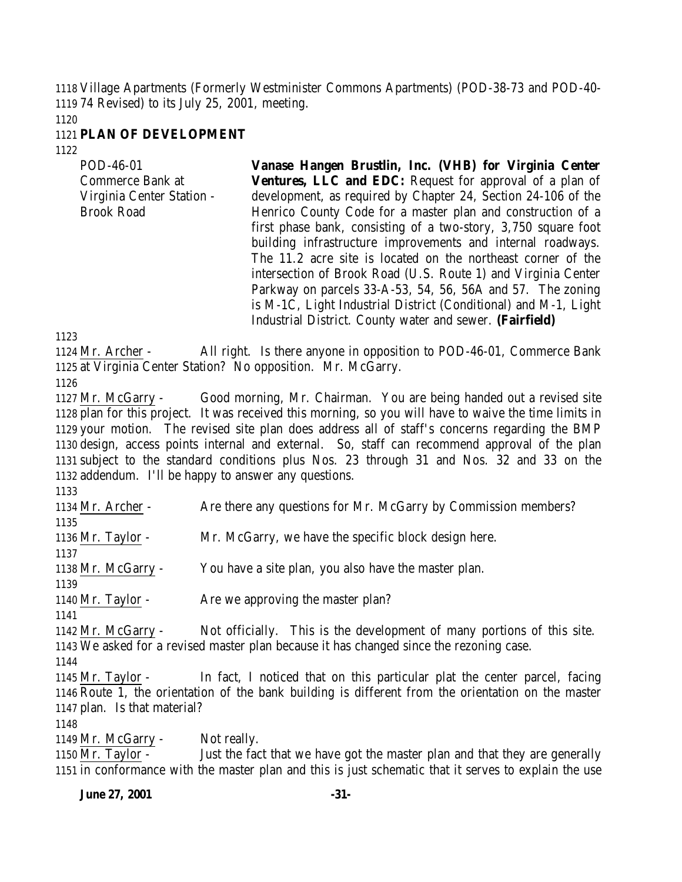Village Apartments (Formerly Westminister Commons Apartments) (POD-38-73 and POD-40- 74 Revised) to its July 25, 2001, meeting.

### **PLAN OF DEVELOPMENT**

| POD-46-01                 | Vanase Hangen Brustlin, Inc. (VHB) for Virginia Center          |
|---------------------------|-----------------------------------------------------------------|
| Commerce Bank at          | Ventures, LLC and EDC: Request for approval of a plan of        |
| Virginia Center Station - | development, as required by Chapter 24, Section 24-106 of the   |
| <b>Brook Road</b>         | Henrico County Code for a master plan and construction of a     |
|                           | first phase bank, consisting of a two-story, 3,750 square foot  |
|                           | building infrastructure improvements and internal roadways.     |
|                           | The 11.2 acre site is located on the northeast corner of the    |
|                           | intersection of Brook Road (U.S. Route 1) and Virginia Center   |
|                           | Parkway on parcels 33-A-53, 54, 56, 56A and 57. The zoning      |
|                           | is M-1C, Light Industrial District (Conditional) and M-1, Light |
|                           | Industrial District. County water and sewer. (Fairfield)        |

 Mr. Archer - All right. Is there anyone in opposition to POD-46-01, Commerce Bank at Virginia Center Station? No opposition. Mr. McGarry.

 Mr. McGarry - Good morning, Mr. Chairman. You are being handed out a revised site plan for this project. It was received this morning, so you will have to waive the time limits in your motion. The revised site plan does address all of staff's concerns regarding the BMP design, access points internal and external. So, staff can recommend approval of the plan subject to the standard conditions plus Nos. 23 through 31 and Nos. 32 and 33 on the addendum. I'll be happy to answer any questions.

 Mr. Archer - Are there any questions for Mr. McGarry by Commission members? Mr. Taylor - Mr. McGarry, we have the specific block design here. Mr. McGarry - You have a site plan, you also have the master plan. 1140 Mr. Taylor - Are we approving the master plan? Mr. McGarry - Not officially. This is the development of many portions of this site. We asked for a revised master plan because it has changed since the rezoning case. Mr. Taylor - In fact, I noticed that on this particular plat the center parcel, facing Route 1, the orientation of the bank building is different from the orientation on the master plan. Is that material? 1149 Mr. McGarry - Not really.

 Mr. Taylor - Just the fact that we have got the master plan and that they are generally in conformance with the master plan and this is just schematic that it serves to explain the use

**June 27, 2001 -31-**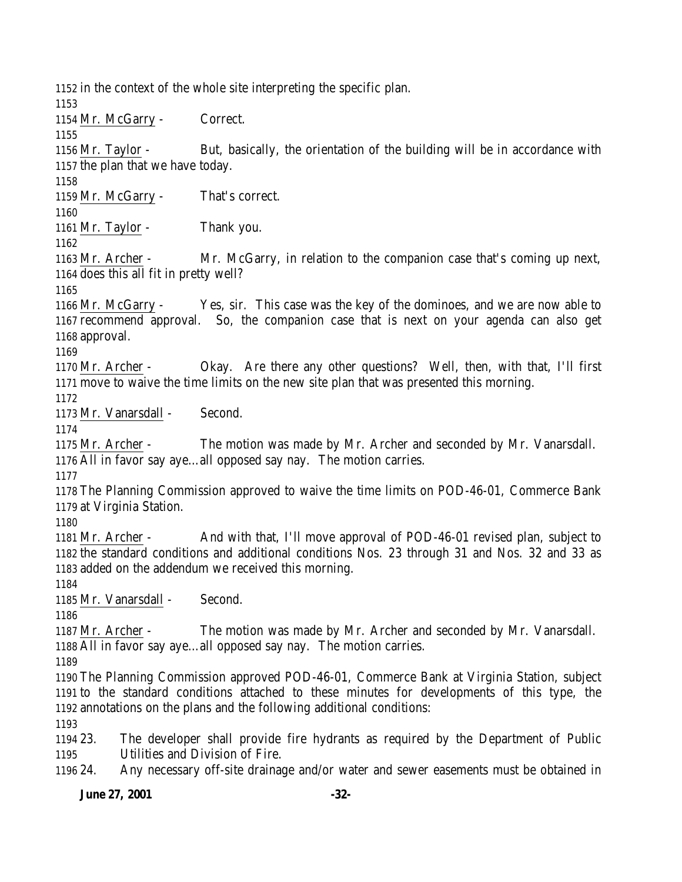in the context of the whole site interpreting the specific plan.

Mr. McGarry - Correct.

 Mr. Taylor - But, basically, the orientation of the building will be in accordance with the plan that we have today.

Mr. McGarry - That's correct.

Mr. Taylor - Thank you.

 Mr. Archer - Mr. McGarry, in relation to the companion case that's coming up next, does this all fit in pretty well?

 Mr. McGarry - Yes, sir. This case was the key of the dominoes, and we are now able to recommend approval. So, the companion case that is next on your agenda can also get approval.

 Mr. Archer - Okay. Are there any other questions? Well, then, with that, I'll first move to waive the time limits on the new site plan that was presented this morning.

Mr. Vanarsdall - Second.

 Mr. Archer - The motion was made by Mr. Archer and seconded by Mr. Vanarsdall. All in favor say aye…all opposed say nay. The motion carries.

 The Planning Commission approved to waive the time limits on POD-46-01, Commerce Bank at Virginia Station.

 Mr. Archer - And with that, I'll move approval of POD-46-01 revised plan, subject to the standard conditions and additional conditions Nos. 23 through 31 and Nos. 32 and 33 as added on the addendum we received this morning.

Mr. Vanarsdall - Second.

 Mr. Archer - The motion was made by Mr. Archer and seconded by Mr. Vanarsdall. All in favor say aye…all opposed say nay. The motion carries.

 The Planning Commission approved POD-46-01, Commerce Bank at Virginia Station, subject to the standard conditions attached to these minutes for developments of this type, the annotations on the plans and the following additional conditions:

 23. The developer shall provide fire hydrants as required by the Department of Public Utilities and Division of Fire.

24. Any necessary off-site drainage and/or water and sewer easements must be obtained in

**June 27, 2001 -32-**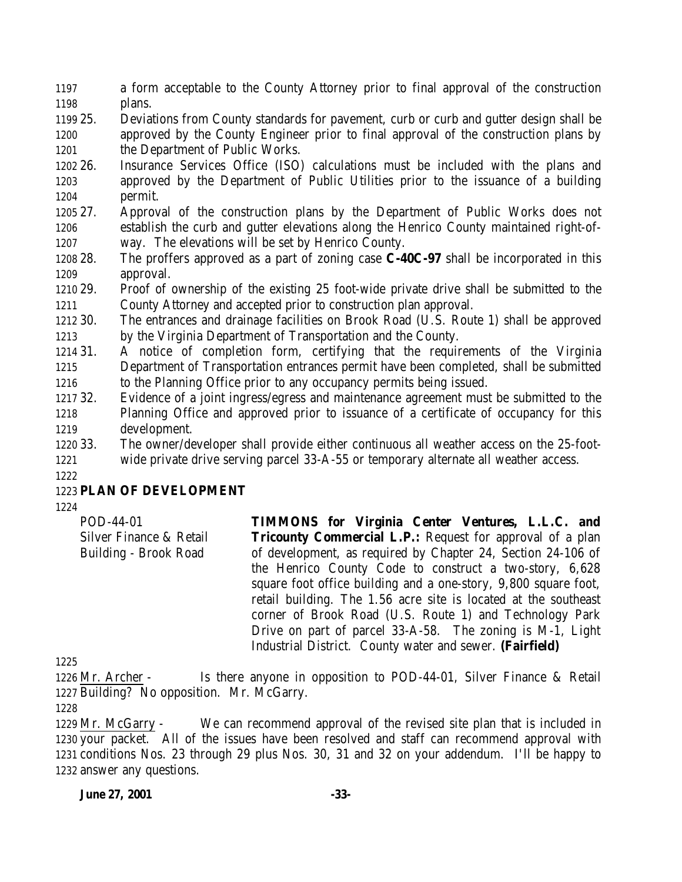a form acceptable to the County Attorney prior to final approval of the construction plans.

 25. Deviations from County standards for pavement, curb or curb and gutter design shall be approved by the County Engineer prior to final approval of the construction plans by 1201 the Department of Public Works.

 26. Insurance Services Office (ISO) calculations must be included with the plans and approved by the Department of Public Utilities prior to the issuance of a building permit.

 27. Approval of the construction plans by the Department of Public Works does not establish the curb and gutter elevations along the Henrico County maintained right-of-way. The elevations will be set by Henrico County.

 28. The proffers approved as a part of zoning case **C-40C-97** shall be incorporated in this approval.

 29. Proof of ownership of the existing 25 foot-wide private drive shall be submitted to the County Attorney and accepted prior to construction plan approval.

 30. The entrances and drainage facilities on Brook Road (U.S. Route 1) shall be approved by the Virginia Department of Transportation and the County.

 31. A notice of completion form, certifying that the requirements of the Virginia Department of Transportation entrances permit have been completed, shall be submitted to the Planning Office prior to any occupancy permits being issued.

 32. Evidence of a joint ingress/egress and maintenance agreement must be submitted to the Planning Office and approved prior to issuance of a certificate of occupancy for this development.

 33. The owner/developer shall provide either continuous all weather access on the 25-foot-wide private drive serving parcel 33-A-55 or temporary alternate all weather access.

## **PLAN OF DEVELOPMENT**

POD-44-01 Silver Finance & Retail Building - Brook Road **TIMMONS for Virginia Center Ventures, L.L.C. and Tricounty Commercial L.P.:** Request for approval of a plan of development, as required by Chapter 24, Section 24-106 of the Henrico County Code to construct a two-story, 6,628 square foot office building and a one-story, 9,800 square foot, retail building. The 1.56 acre site is located at the southeast corner of Brook Road (U.S. Route 1) and Technology Park Drive on part of parcel 33-A-58. The zoning is M-1, Light Industrial District. County water and sewer. **(Fairfield)**

 Mr. Archer - Is there anyone in opposition to POD-44-01, Silver Finance & Retail Building? No opposition. Mr. McGarry.

 Mr. McGarry - We can recommend approval of the revised site plan that is included in your packet. All of the issues have been resolved and staff can recommend approval with conditions Nos. 23 through 29 plus Nos. 30, 31 and 32 on your addendum. I'll be happy to answer any questions.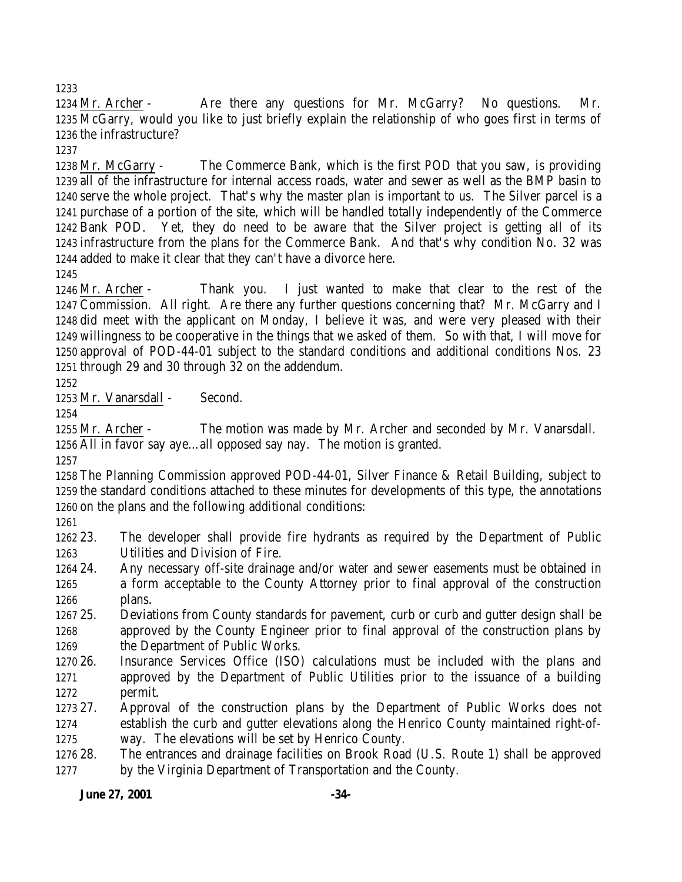1234 Mr. Archer - Are there any questions for Mr. McGarry? No questions. Mr. McGarry, would you like to just briefly explain the relationship of who goes first in terms of the infrastructure?

 Mr. McGarry - The Commerce Bank, which is the first POD that you saw, is providing all of the infrastructure for internal access roads, water and sewer as well as the BMP basin to serve the whole project. That's why the master plan is important to us. The Silver parcel is a purchase of a portion of the site, which will be handled totally independently of the Commerce Bank POD. Yet, they do need to be aware that the Silver project is getting all of its infrastructure from the plans for the Commerce Bank. And that's why condition No. 32 was added to make it clear that they can't have a divorce here.

 Mr. Archer - Thank you. I just wanted to make that clear to the rest of the Commission. All right. Are there any further questions concerning that? Mr. McGarry and I did meet with the applicant on Monday, I believe it was, and were very pleased with their willingness to be cooperative in the things that we asked of them. So with that, I will move for approval of POD-44-01 subject to the standard conditions and additional conditions Nos. 23 through 29 and 30 through 32 on the addendum.

Mr. Vanarsdall - Second.

 Mr. Archer - The motion was made by Mr. Archer and seconded by Mr. Vanarsdall. All in favor say aye…all opposed say nay. The motion is granted.

 The Planning Commission approved POD-44-01, Silver Finance & Retail Building, subject to the standard conditions attached to these minutes for developments of this type, the annotations on the plans and the following additional conditions:

 23. The developer shall provide fire hydrants as required by the Department of Public Utilities and Division of Fire.

- 24. Any necessary off-site drainage and/or water and sewer easements must be obtained in a form acceptable to the County Attorney prior to final approval of the construction plans.
- 25. Deviations from County standards for pavement, curb or curb and gutter design shall be approved by the County Engineer prior to final approval of the construction plans by the Department of Public Works.
- 26. Insurance Services Office (ISO) calculations must be included with the plans and approved by the Department of Public Utilities prior to the issuance of a building permit.
- 27. Approval of the construction plans by the Department of Public Works does not establish the curb and gutter elevations along the Henrico County maintained right-of-way. The elevations will be set by Henrico County.
- 28. The entrances and drainage facilities on Brook Road (U.S. Route 1) shall be approved by the Virginia Department of Transportation and the County.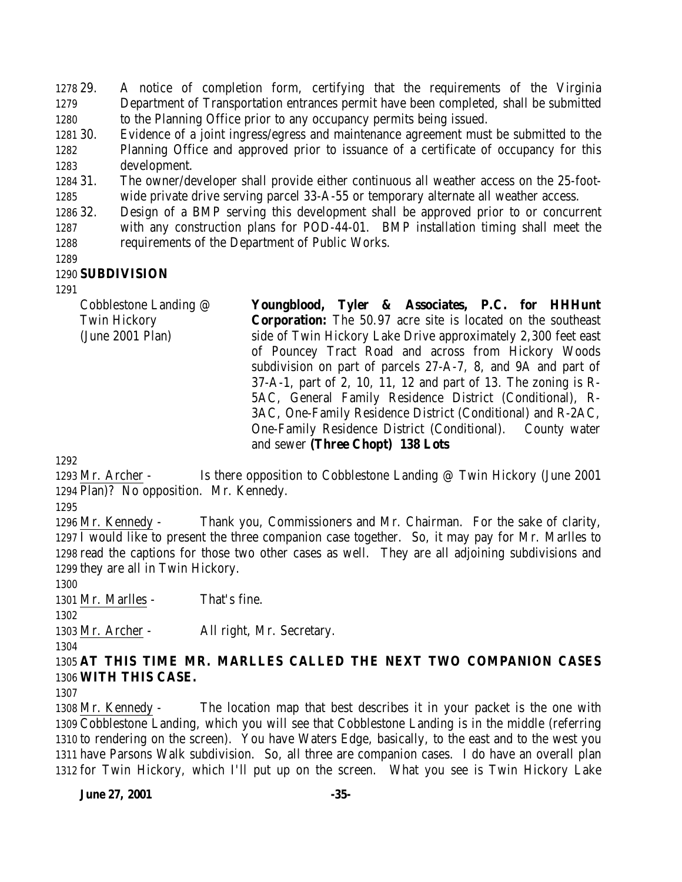29. A notice of completion form, certifying that the requirements of the Virginia Department of Transportation entrances permit have been completed, shall be submitted to the Planning Office prior to any occupancy permits being issued.

 30. Evidence of a joint ingress/egress and maintenance agreement must be submitted to the Planning Office and approved prior to issuance of a certificate of occupancy for this development.

 31. The owner/developer shall provide either continuous all weather access on the 25-foot-wide private drive serving parcel 33-A-55 or temporary alternate all weather access.

 32. Design of a BMP serving this development shall be approved prior to or concurrent with any construction plans for POD-44-01. BMP installation timing shall meet the requirements of the Department of Public Works.

### **SUBDIVISION**

Cobblestone Landing @ Twin Hickory (June 2001 Plan) **Youngblood, Tyler & Associates, P.C. for HHHunt Corporation:** The 50.97 acre site is located on the southeast side of Twin Hickory Lake Drive approximately 2,300 feet east of Pouncey Tract Road and across from Hickory Woods subdivision on part of parcels 27-A-7, 8, and 9A and part of 37-A-1, part of 2, 10, 11, 12 and part of 13. The zoning is R-5AC, General Family Residence District (Conditional), R-3AC, One-Family Residence District (Conditional) and R-2AC, One-Family Residence District (Conditional). County water and sewer **(Three Chopt) 138 Lots**

1293 Mr. Archer - Is there opposition to Cobblestone Landing @ Twin Hickory (June 2001 Plan)? No opposition. Mr. Kennedy.

 Mr. Kennedy - Thank you, Commissioners and Mr. Chairman. For the sake of clarity, I would like to present the three companion case together. So, it may pay for Mr. Marlles to read the captions for those two other cases as well. They are all adjoining subdivisions and they are all in Twin Hickory.

1301 Mr. Marlles - That's fine.

Mr. Archer - All right, Mr. Secretary.

 **AT THIS TIME MR. MARLLES CALLED THE NEXT TWO COMPANION CASES WITH THIS CASE.**

 Mr. Kennedy - The location map that best describes it in your packet is the one with Cobblestone Landing, which you will see that Cobblestone Landing is in the middle (referring to rendering on the screen). You have Waters Edge, basically, to the east and to the west you have Parsons Walk subdivision. So, all three are companion cases. I do have an overall plan for Twin Hickory, which I'll put up on the screen. What you see is Twin Hickory Lake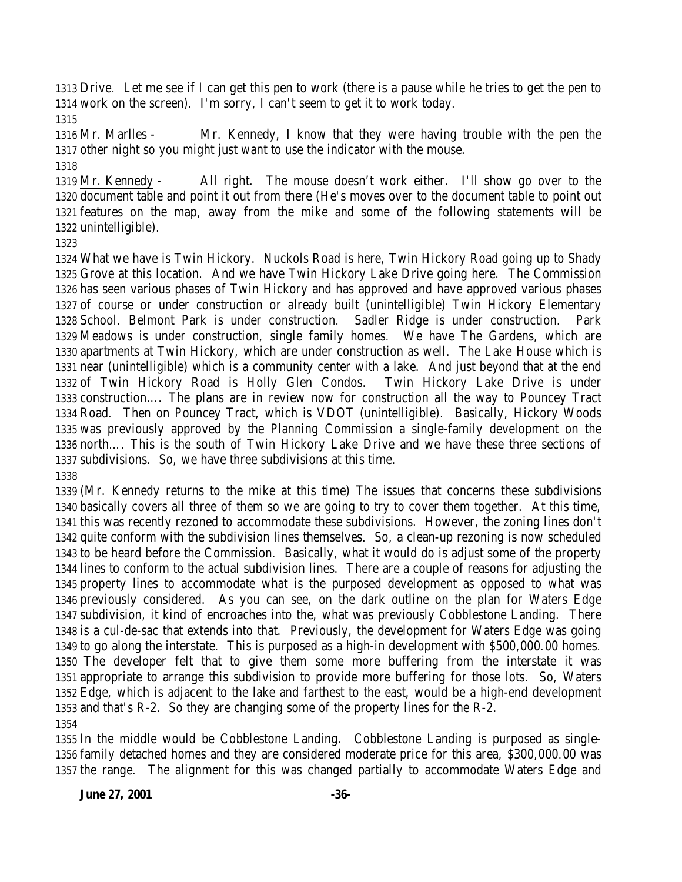Drive. Let me see if I can get this pen to work (there is a pause while he tries to get the pen to work on the screen). I'm sorry, I can't seem to get it to work today.

 Mr. Marlles - Mr. Kennedy, I know that they were having trouble with the pen the other night so you might just want to use the indicator with the mouse.

 Mr. Kennedy - All right. The mouse doesn't work either. I'll show go over to the document table and point it out from there (He's moves over to the document table to point out features on the map, away from the mike and some of the following statements will be unintelligible).

 What we have is Twin Hickory. Nuckols Road is here, Twin Hickory Road going up to Shady Grove at this location. And we have Twin Hickory Lake Drive going here. The Commission has seen various phases of Twin Hickory and has approved and have approved various phases of course or under construction or already built (unintelligible) Twin Hickory Elementary School. Belmont Park is under construction. Sadler Ridge is under construction. Park Meadows is under construction, single family homes. We have The Gardens, which are apartments at Twin Hickory, which are under construction as well. The Lake House which is near (unintelligible) which is a community center with a lake. And just beyond that at the end of Twin Hickory Road is Holly Glen Condos. Twin Hickory Lake Drive is under construction…. The plans are in review now for construction all the way to Pouncey Tract Road. Then on Pouncey Tract, which is VDOT (unintelligible). Basically, Hickory Woods was previously approved by the Planning Commission a single-family development on the north…. This is the south of Twin Hickory Lake Drive and we have these three sections of subdivisions. So, we have three subdivisions at this time. 

 (Mr. Kennedy returns to the mike at this time) The issues that concerns these subdivisions basically covers all three of them so we are going to try to cover them together. At this time, this was recently rezoned to accommodate these subdivisions. However, the zoning lines don't quite conform with the subdivision lines themselves. So, a clean-up rezoning is now scheduled to be heard before the Commission. Basically, what it would do is adjust some of the property lines to conform to the actual subdivision lines. There are a couple of reasons for adjusting the property lines to accommodate what is the purposed development as opposed to what was previously considered. As you can see, on the dark outline on the plan for Waters Edge subdivision, it kind of encroaches into the, what was previously Cobblestone Landing. There is a cul-de-sac that extends into that. Previously, the development for Waters Edge was going to go along the interstate. This is purposed as a high-in development with \$500,000.00 homes. The developer felt that to give them some more buffering from the interstate it was appropriate to arrange this subdivision to provide more buffering for those lots. So, Waters Edge, which is adjacent to the lake and farthest to the east, would be a high-end development and that's R-2. So they are changing some of the property lines for the R-2. 

 In the middle would be Cobblestone Landing. Cobblestone Landing is purposed as single- family detached homes and they are considered moderate price for this area, \$300,000.00 was the range. The alignment for this was changed partially to accommodate Waters Edge and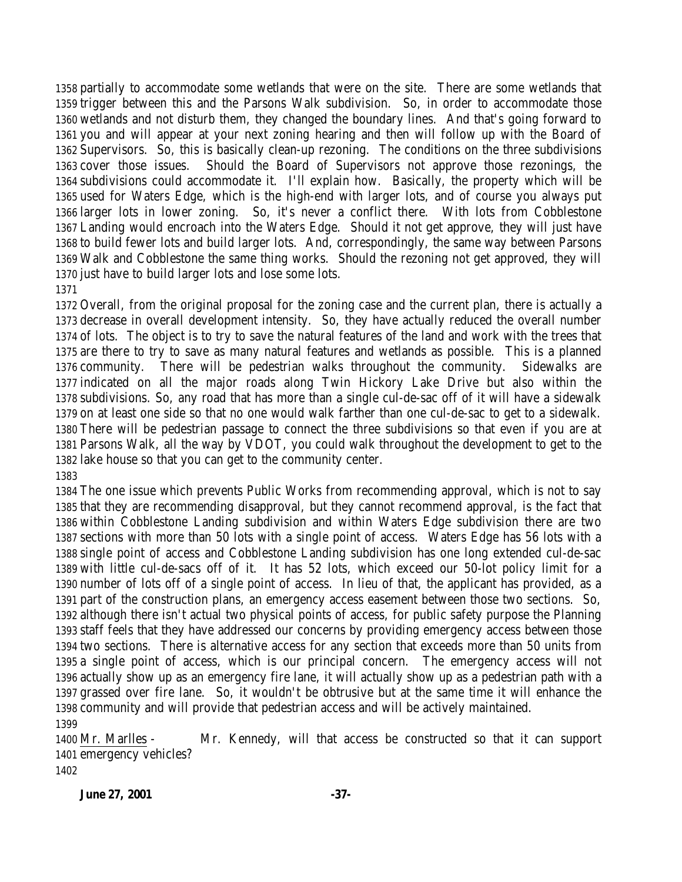partially to accommodate some wetlands that were on the site. There are some wetlands that trigger between this and the Parsons Walk subdivision. So, in order to accommodate those wetlands and not disturb them, they changed the boundary lines. And that's going forward to you and will appear at your next zoning hearing and then will follow up with the Board of Supervisors. So, this is basically clean-up rezoning. The conditions on the three subdivisions cover those issues. Should the Board of Supervisors not approve those rezonings, the subdivisions could accommodate it. I'll explain how. Basically, the property which will be used for Waters Edge, which is the high-end with larger lots, and of course you always put larger lots in lower zoning. So, it's never a conflict there. With lots from Cobblestone Landing would encroach into the Waters Edge. Should it not get approve, they will just have to build fewer lots and build larger lots. And, correspondingly, the same way between Parsons Walk and Cobblestone the same thing works. Should the rezoning not get approved, they will just have to build larger lots and lose some lots.

 Overall, from the original proposal for the zoning case and the current plan, there is actually a decrease in overall development intensity. So, they have actually reduced the overall number of lots. The object is to try to save the natural features of the land and work with the trees that are there to try to save as many natural features and wetlands as possible. This is a planned community. There will be pedestrian walks throughout the community. Sidewalks are indicated on all the major roads along Twin Hickory Lake Drive but also within the subdivisions. So, any road that has more than a single cul-de-sac off of it will have a sidewalk on at least one side so that no one would walk farther than one cul-de-sac to get to a sidewalk. There will be pedestrian passage to connect the three subdivisions so that even if you are at Parsons Walk, all the way by VDOT, you could walk throughout the development to get to the lake house so that you can get to the community center. 

 The one issue which prevents Public Works from recommending approval, which is not to say that they are recommending disapproval, but they cannot recommend approval, is the fact that within Cobblestone Landing subdivision and within Waters Edge subdivision there are two sections with more than 50 lots with a single point of access. Waters Edge has 56 lots with a single point of access and Cobblestone Landing subdivision has one long extended cul-de-sac with little cul-de-sacs off of it. It has 52 lots, which exceed our 50-lot policy limit for a number of lots off of a single point of access. In lieu of that, the applicant has provided, as a part of the construction plans, an emergency access easement between those two sections. So, although there isn't actual two physical points of access, for public safety purpose the Planning staff feels that they have addressed our concerns by providing emergency access between those two sections. There is alternative access for any section that exceeds more than 50 units from a single point of access, which is our principal concern. The emergency access will not actually show up as an emergency fire lane, it will actually show up as a pedestrian path with a grassed over fire lane. So, it wouldn't be obtrusive but at the same time it will enhance the community and will provide that pedestrian access and will be actively maintained. 

 Mr. Marlles - Mr. Kennedy, will that access be constructed so that it can support emergency vehicles? 

**June 27, 2001 -37-**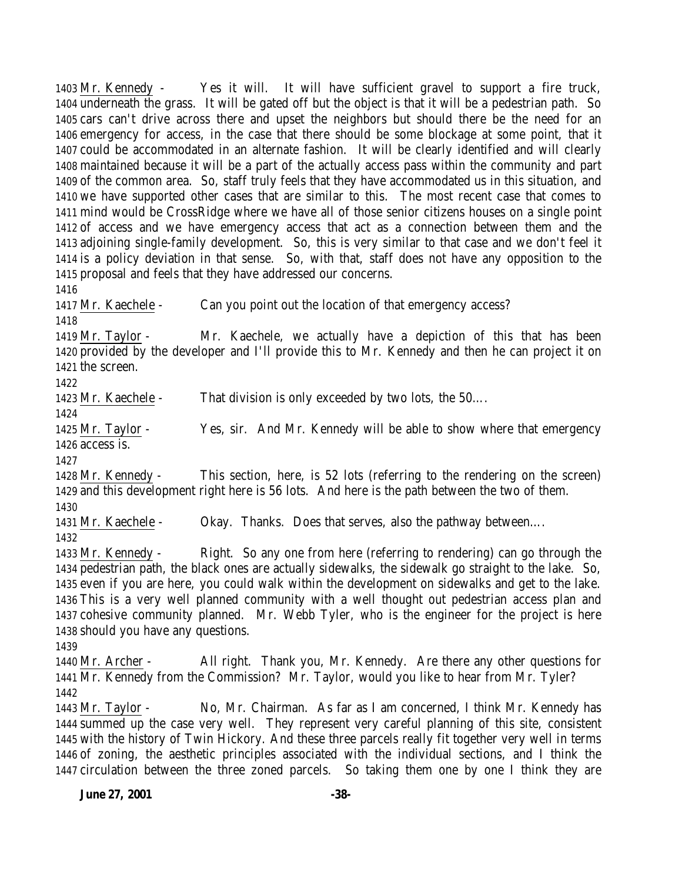Mr. Kennedy - Yes it will. It will have sufficient gravel to support a fire truck, underneath the grass. It will be gated off but the object is that it will be a pedestrian path. So cars can't drive across there and upset the neighbors but should there be the need for an emergency for access, in the case that there should be some blockage at some point, that it could be accommodated in an alternate fashion. It will be clearly identified and will clearly maintained because it will be a part of the actually access pass within the community and part of the common area. So, staff truly feels that they have accommodated us in this situation, and we have supported other cases that are similar to this. The most recent case that comes to mind would be CrossRidge where we have all of those senior citizens houses on a single point of access and we have emergency access that act as a connection between them and the adjoining single-family development. So, this is very similar to that case and we don't feel it is a policy deviation in that sense. So, with that, staff does not have any opposition to the proposal and feels that they have addressed our concerns.

 Mr. Kaechele - Can you point out the location of that emergency access? 

 Mr. Taylor - Mr. Kaechele, we actually have a depiction of this that has been provided by the developer and I'll provide this to Mr. Kennedy and then he can project it on the screen.

Mr. Kaechele - That division is only exceeded by two lots, the 50….

 Mr. Taylor - Yes, sir. And Mr. Kennedy will be able to show where that emergency access is.

 Mr. Kennedy - This section, here, is 52 lots (referring to the rendering on the screen) and this development right here is 56 lots. And here is the path between the two of them. 

Mr. Kaechele - Okay. Thanks. Does that serves, also the pathway between….

 Mr. Kennedy - Right. So any one from here (referring to rendering) can go through the pedestrian path, the black ones are actually sidewalks, the sidewalk go straight to the lake. So, even if you are here, you could walk within the development on sidewalks and get to the lake. This is a very well planned community with a well thought out pedestrian access plan and cohesive community planned. Mr. Webb Tyler, who is the engineer for the project is here should you have any questions.

 Mr. Archer - All right. Thank you, Mr. Kennedy. Are there any other questions for Mr. Kennedy from the Commission? Mr. Taylor, would you like to hear from Mr. Tyler? 

 Mr. Taylor - No, Mr. Chairman. As far as I am concerned, I think Mr. Kennedy has summed up the case very well. They represent very careful planning of this site, consistent with the history of Twin Hickory. And these three parcels really fit together very well in terms of zoning, the aesthetic principles associated with the individual sections, and I think the circulation between the three zoned parcels. So taking them one by one I think they are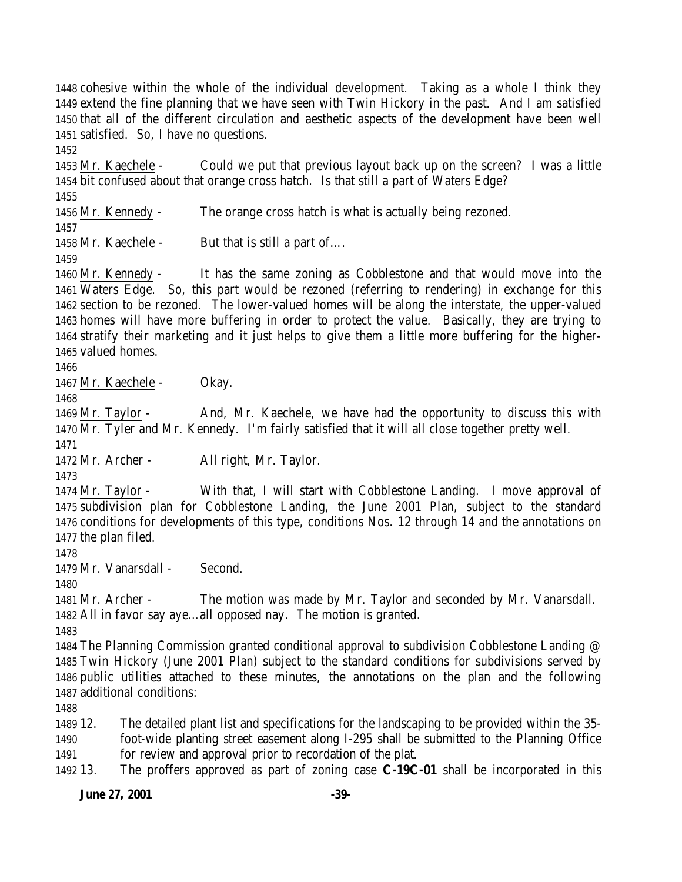**June 27, 2001 -39-** cohesive within the whole of the individual development. Taking as a whole I think they extend the fine planning that we have seen with Twin Hickory in the past. And I am satisfied that all of the different circulation and aesthetic aspects of the development have been well satisfied. So, I have no questions. Mr. Kaechele - Could we put that previous layout back up on the screen? I was a little bit confused about that orange cross hatch. Is that still a part of Waters Edge? Mr. Kennedy - The orange cross hatch is what is actually being rezoned. 1458 Mr. Kaechele - But that is still a part of.... Mr. Kennedy - It has the same zoning as Cobblestone and that would move into the Waters Edge. So, this part would be rezoned (referring to rendering) in exchange for this section to be rezoned. The lower-valued homes will be along the interstate, the upper-valued homes will have more buffering in order to protect the value. Basically, they are trying to stratify their marketing and it just helps to give them a little more buffering for the higher- valued homes. Mr. Kaechele - Okay. Mr. Taylor - And, Mr. Kaechele, we have had the opportunity to discuss this with Mr. Tyler and Mr. Kennedy. I'm fairly satisfied that it will all close together pretty well. Mr. Archer - All right, Mr. Taylor. Mr. Taylor - With that, I will start with Cobblestone Landing. I move approval of subdivision plan for Cobblestone Landing, the June 2001 Plan, subject to the standard conditions for developments of this type, conditions Nos. 12 through 14 and the annotations on the plan filed. Mr. Vanarsdall - Second. Mr. Archer - The motion was made by Mr. Taylor and seconded by Mr. Vanarsdall. All in favor say aye…all opposed nay. The motion is granted. The Planning Commission granted conditional approval to subdivision Cobblestone Landing @ Twin Hickory (June 2001 Plan) subject to the standard conditions for subdivisions served by public utilities attached to these minutes, the annotations on the plan and the following additional conditions: 12. The detailed plant list and specifications for the landscaping to be provided within the 35- foot-wide planting street easement along I-295 shall be submitted to the Planning Office for review and approval prior to recordation of the plat. 13. The proffers approved as part of zoning case **C-19C-01** shall be incorporated in this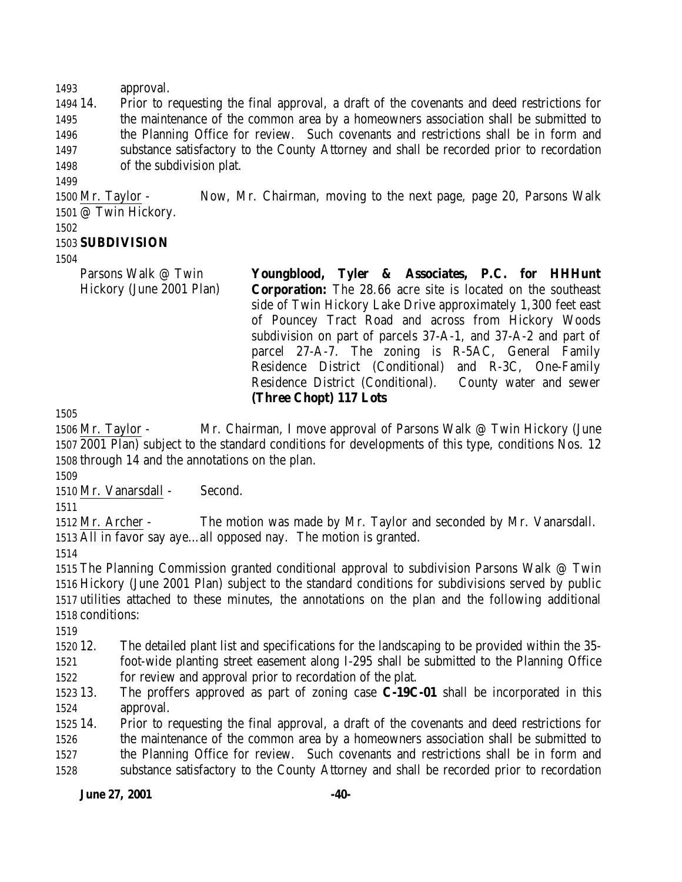approval.

 14. Prior to requesting the final approval, a draft of the covenants and deed restrictions for the maintenance of the common area by a homeowners association shall be submitted to the Planning Office for review. Such covenants and restrictions shall be in form and substance satisfactory to the County Attorney and shall be recorded prior to recordation of the subdivision plat.

 Mr. Taylor - Now, Mr. Chairman, moving to the next page, page 20, Parsons Walk @ Twin Hickory.

## **SUBDIVISION**

Parsons Walk @ Twin Hickory (June 2001 Plan)

**Youngblood, Tyler & Associates, P.C. for HHHunt Corporation:** The 28.66 acre site is located on the southeast side of Twin Hickory Lake Drive approximately 1,300 feet east of Pouncey Tract Road and across from Hickory Woods subdivision on part of parcels 37-A-1, and 37-A-2 and part of parcel 27-A-7. The zoning is R-5AC, General Family Residence District (Conditional) and R-3C, One-Family Residence District (Conditional). County water and sewer **(Three Chopt) 117 Lots**

 Mr. Taylor - Mr. Chairman, I move approval of Parsons Walk @ Twin Hickory (June 2001 Plan) subject to the standard conditions for developments of this type, conditions Nos. 12 through 14 and the annotations on the plan.

Mr. Vanarsdall - Second.

 Mr. Archer - The motion was made by Mr. Taylor and seconded by Mr. Vanarsdall. All in favor say aye…all opposed nay. The motion is granted.

 The Planning Commission granted conditional approval to subdivision Parsons Walk @ Twin Hickory (June 2001 Plan) subject to the standard conditions for subdivisions served by public utilities attached to these minutes, the annotations on the plan and the following additional conditions:

 12. The detailed plant list and specifications for the landscaping to be provided within the 35- foot-wide planting street easement along I-295 shall be submitted to the Planning Office

for review and approval prior to recordation of the plat.

 13. The proffers approved as part of zoning case **C-19C-01** shall be incorporated in this approval.

 14. Prior to requesting the final approval, a draft of the covenants and deed restrictions for the maintenance of the common area by a homeowners association shall be submitted to the Planning Office for review. Such covenants and restrictions shall be in form and substance satisfactory to the County Attorney and shall be recorded prior to recordation

**June 27, 2001 -40-**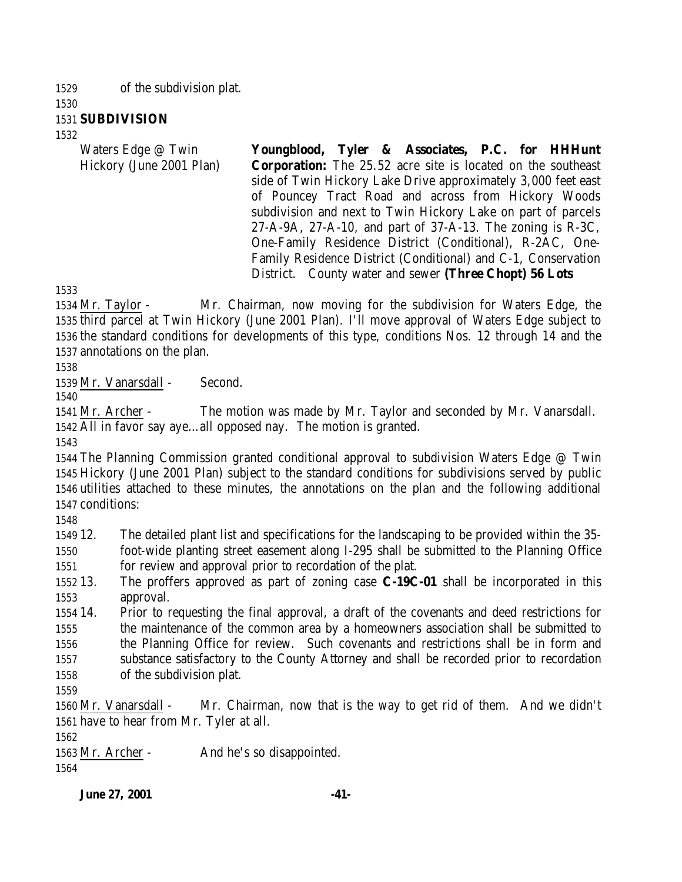of the subdivision plat.

#### **SUBDIVISION**

Waters Edge @ Twin Hickory (June 2001 Plan) **Youngblood, Tyler & Associates, P.C. for HHHunt Corporation:** The 25.52 acre site is located on the southeast side of Twin Hickory Lake Drive approximately 3,000 feet east of Pouncey Tract Road and across from Hickory Woods subdivision and next to Twin Hickory Lake on part of parcels 27-A-9A, 27-A-10, and part of 37-A-13. The zoning is R-3C, One-Family Residence District (Conditional), R-2AC, One-Family Residence District (Conditional) and C-1, Conservation District. County water and sewer **(Three Chopt) 56 Lots**

 Mr. Taylor - Mr. Chairman, now moving for the subdivision for Waters Edge, the third parcel at Twin Hickory (June 2001 Plan). I'll move approval of Waters Edge subject to the standard conditions for developments of this type, conditions Nos. 12 through 14 and the annotations on the plan.

Mr. Vanarsdall - Second.

 Mr. Archer - The motion was made by Mr. Taylor and seconded by Mr. Vanarsdall. All in favor say aye…all opposed nay. The motion is granted.

 The Planning Commission granted conditional approval to subdivision Waters Edge @ Twin Hickory (June 2001 Plan) subject to the standard conditions for subdivisions served by public utilities attached to these minutes, the annotations on the plan and the following additional conditions:

 12. The detailed plant list and specifications for the landscaping to be provided within the 35- foot-wide planting street easement along I-295 shall be submitted to the Planning Office for review and approval prior to recordation of the plat.

 13. The proffers approved as part of zoning case **C-19C-01** shall be incorporated in this approval.

 14. Prior to requesting the final approval, a draft of the covenants and deed restrictions for the maintenance of the common area by a homeowners association shall be submitted to the Planning Office for review. Such covenants and restrictions shall be in form and substance satisfactory to the County Attorney and shall be recorded prior to recordation of the subdivision plat.

 Mr. Vanarsdall - Mr. Chairman, now that is the way to get rid of them. And we didn't have to hear from Mr. Tyler at all.

Mr. Archer - And he's so disappointed.

**June 27, 2001 -41-**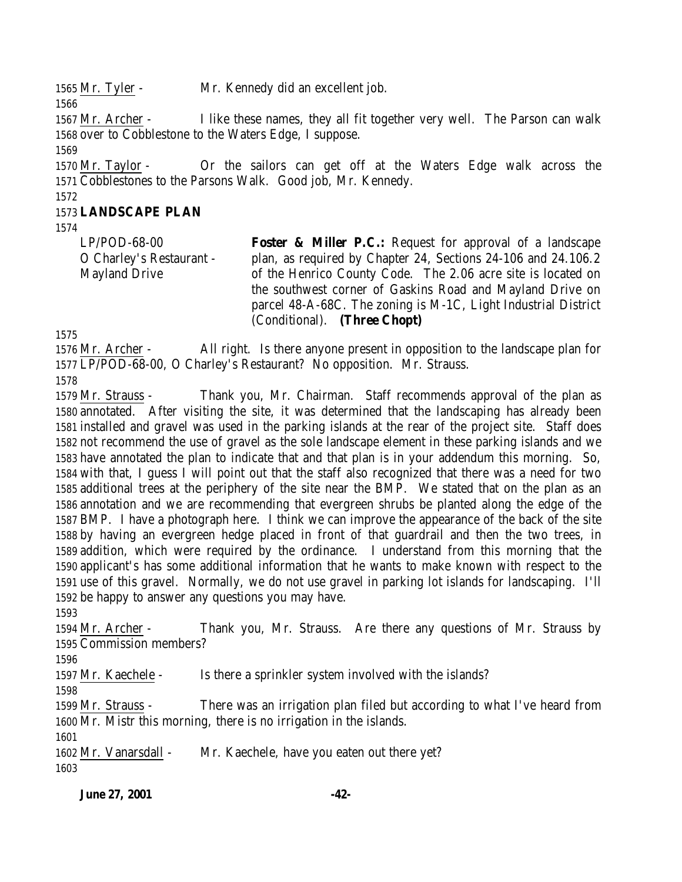Mr. Tyler - Mr. Kennedy did an excellent job.

 Mr. Archer - I like these names, they all fit together very well. The Parson can walk over to Cobblestone to the Waters Edge, I suppose.

 Mr. Taylor - Or the sailors can get off at the Waters Edge walk across the Cobblestones to the Parsons Walk. Good job, Mr. Kennedy.

### **LANDSCAPE PLAN**

LP/POD-68-00 O Charley's Restaurant - Mayland Drive **Foster & Miller P.C.:** Request for approval of a landscape plan, as required by Chapter 24, Sections 24-106 and 24.106.2 of the Henrico County Code. The 2.06 acre site is located on the southwest corner of Gaskins Road and Mayland Drive on parcel 48-A-68C. The zoning is M-1C, Light Industrial District (Conditional). **(Three Chopt)**

 Mr. Archer - All right. Is there anyone present in opposition to the landscape plan for LP/POD-68-00, O Charley's Restaurant? No opposition. Mr. Strauss.

 Mr. Strauss - Thank you, Mr. Chairman. Staff recommends approval of the plan as annotated. After visiting the site, it was determined that the landscaping has already been installed and gravel was used in the parking islands at the rear of the project site. Staff does not recommend the use of gravel as the sole landscape element in these parking islands and we have annotated the plan to indicate that and that plan is in your addendum this morning. So, with that, I guess I will point out that the staff also recognized that there was a need for two additional trees at the periphery of the site near the BMP. We stated that on the plan as an annotation and we are recommending that evergreen shrubs be planted along the edge of the BMP. I have a photograph here. I think we can improve the appearance of the back of the site by having an evergreen hedge placed in front of that guardrail and then the two trees, in addition, which were required by the ordinance. I understand from this morning that the applicant's has some additional information that he wants to make known with respect to the use of this gravel. Normally, we do not use gravel in parking lot islands for landscaping. I'll be happy to answer any questions you may have.

 Mr. Archer - Thank you, Mr. Strauss. Are there any questions of Mr. Strauss by Commission members?

1597 Mr. Kaechele - Is there a sprinkler system involved with the islands?

 Mr. Strauss - There was an irrigation plan filed but according to what I've heard from Mr. Mistr this morning, there is no irrigation in the islands.

1602 Mr. Vanarsdall - Mr. Kaechele, have you eaten out there yet?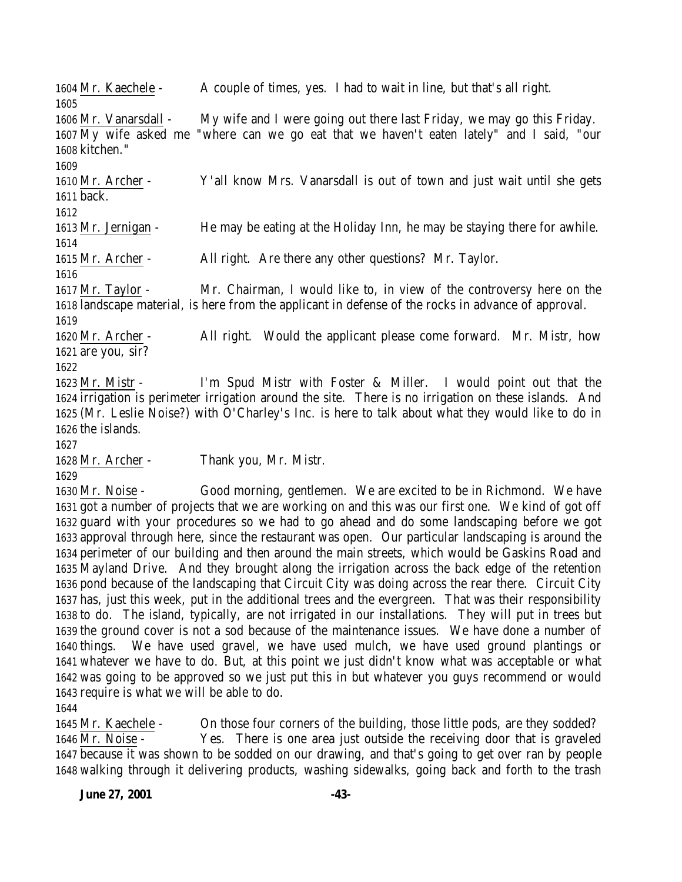Mr. Kaechele - A couple of times, yes. I had to wait in line, but that's all right.

 Mr. Vanarsdall - My wife and I were going out there last Friday, we may go this Friday.  $\overline{\text{My}}$  wife asked me "where can we go eat that we haven't eaten lately" and I said, "our kitchen." 

 Mr. Archer - Y'all know Mrs. Vanarsdall is out of town and just wait until she gets back.

Mr. Jernigan - He may be eating at the Holiday Inn, he may be staying there for awhile.

Mr. Archer - All right. Are there any other questions? Mr. Taylor.

 Mr. Taylor - Mr. Chairman, I would like to, in view of the controversy here on the landscape material, is here from the applicant in defense of the rocks in advance of approval.

 Mr. Archer - All right. Would the applicant please come forward. Mr. Mistr, how are you, sir?

 Mr. Mistr - I'm Spud Mistr with Foster & Miller. I would point out that the irrigation is perimeter irrigation around the site. There is no irrigation on these islands. And (Mr. Leslie Noise?) with O'Charley's Inc. is here to talk about what they would like to do in the islands.

Mr. Archer - Thank you, Mr. Mistr.

 Mr. Noise - Good morning, gentlemen. We are excited to be in Richmond. We have got a number of projects that we are working on and this was our first one. We kind of got off guard with your procedures so we had to go ahead and do some landscaping before we got approval through here, since the restaurant was open. Our particular landscaping is around the perimeter of our building and then around the main streets, which would be Gaskins Road and Mayland Drive. And they brought along the irrigation across the back edge of the retention pond because of the landscaping that Circuit City was doing across the rear there. Circuit City has, just this week, put in the additional trees and the evergreen. That was their responsibility to do. The island, typically, are not irrigated in our installations. They will put in trees but the ground cover is not a sod because of the maintenance issues. We have done a number of things. We have used gravel, we have used mulch, we have used ground plantings or whatever we have to do. But, at this point we just didn't know what was acceptable or what was going to be approved so we just put this in but whatever you guys recommend or would require is what we will be able to do.

 Mr. Kaechele - On those four corners of the building, those little pods, are they sodded? Mr. Noise - Yes. There is one area just outside the receiving door that is graveled because it was shown to be sodded on our drawing, and that's going to get over ran by people walking through it delivering products, washing sidewalks, going back and forth to the trash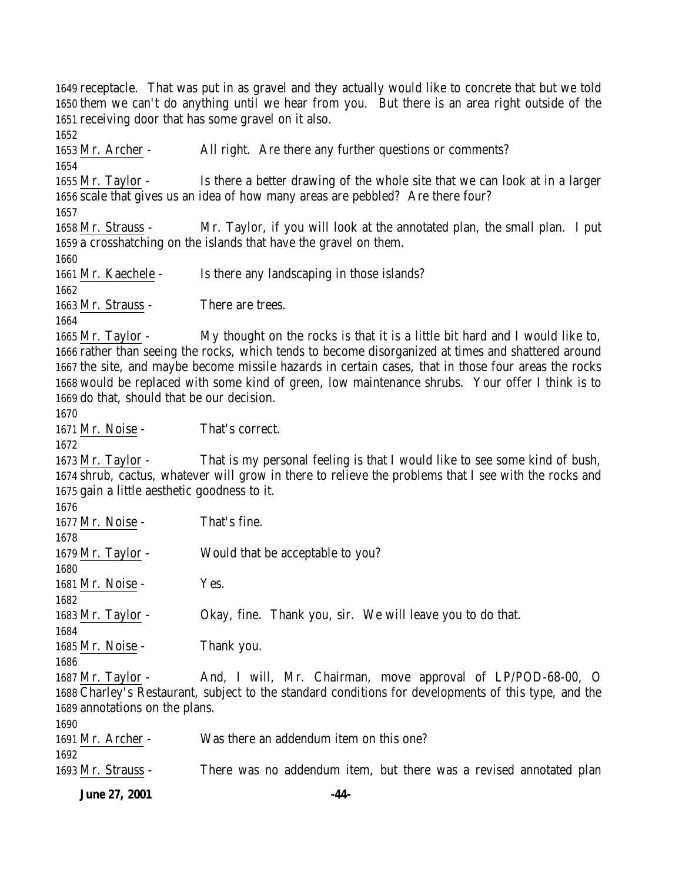receptacle. That was put in as gravel and they actually would like to concrete that but we told them we can't do anything until we hear from you. But there is an area right outside of the receiving door that has some gravel on it also. 

 Mr. Archer - All right. Are there any further questions or comments? Mr. Taylor - Is there a better drawing of the whole site that we can look at in a larger scale that gives us an idea of how many areas are pebbled? Are there four? Mr. Strauss - Mr. Taylor, if you will look at the annotated plan, the small plan. I put a crosshatching on the islands that have the gravel on them. Mr. Kaechele - Is there any landscaping in those islands? 1663 Mr. Strauss - There are trees. Mr. Taylor - My thought on the rocks is that it is a little bit hard and I would like to, rather than seeing the rocks, which tends to become disorganized at times and shattered around the site, and maybe become missile hazards in certain cases, that in those four areas the rocks would be replaced with some kind of green, low maintenance shrubs. Your offer I think is to do that, should that be our decision. Mr. Noise - That's correct. Mr. Taylor - That is my personal feeling is that I would like to see some kind of bush, shrub, cactus, whatever will grow in there to relieve the problems that I see with the rocks and gain a little aesthetic goodness to it. 1677 Mr. Noise - That's fine. 1679 Mr. Taylor - Would that be acceptable to you? 1681 Mr. Noise - Yes. Mr. Taylor - Okay, fine. Thank you, sir. We will leave you to do that. Mr. Noise - Thank you. Mr. Taylor - And, I will, Mr. Chairman, move approval of LP/POD-68-00, O Charley's Restaurant, subject to the standard conditions for developments of this type, and the annotations on the plans. Mr. Archer - Was there an addendum item on this one? Mr. Strauss - There was no addendum item, but there was a revised annotated plan

**June 27, 2001 -44-**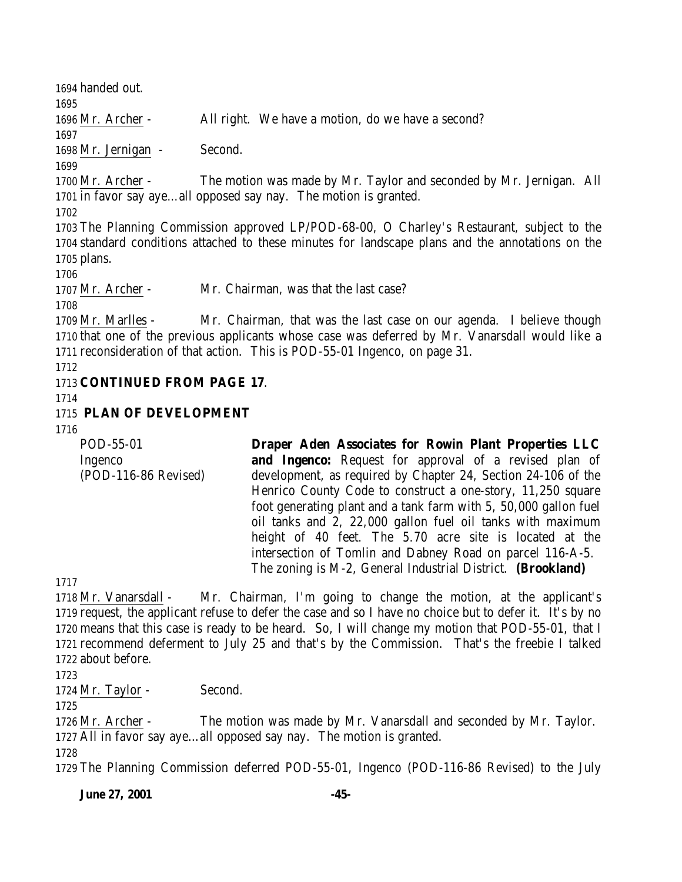handed out. Mr. Archer - All right. We have a motion, do we have a second? Mr. Jernigan - Second. Mr. Archer - The motion was made by Mr. Taylor and seconded by Mr. Jernigan. All in favor say aye…all opposed say nay. The motion is granted. The Planning Commission approved LP/POD-68-00, O Charley's Restaurant, subject to the standard conditions attached to these minutes for landscape plans and the annotations on the plans. Mr. Archer - Mr. Chairman, was that the last case? Mr. Marlles - Mr. Chairman, that was the last case on our agenda. I believe though that one of the previous applicants whose case was deferred by Mr. Vanarsdall would like a reconsideration of that action. This is POD-55-01 Ingenco, on page 31. **CONTINUED FROM PAGE 17**. **PLAN OF DEVELOPMENT** POD-55-01 Ingenco (POD-116-86 Revised) **Draper Aden Associates for Rowin Plant Properties LLC and Ingenco:** Request for approval of a revised plan of development, as required by Chapter 24, Section 24-106 of the Henrico County Code to construct a one-story, 11,250 square foot generating plant and a tank farm with 5, 50,000 gallon fuel oil tanks and 2, 22,000 gallon fuel oil tanks with maximum height of 40 feet. The 5.70 acre site is located at the intersection of Tomlin and Dabney Road on parcel 116-A-5. The zoning is M-2, General Industrial District. **(Brookland)** Mr. Vanarsdall - Mr. Chairman, I'm going to change the motion, at the applicant's

 request, the applicant refuse to defer the case and so I have no choice but to defer it. It's by no means that this case is ready to be heard. So, I will change my motion that POD-55-01, that I recommend deferment to July 25 and that's by the Commission. That's the freebie I talked about before.

1724 Mr. Taylor - Second.

 Mr. Archer - The motion was made by Mr. Vanarsdall and seconded by Mr. Taylor. All in favor say aye…all opposed say nay. The motion is granted. 

The Planning Commission deferred POD-55-01, Ingenco (POD-116-86 Revised) to the July

**June 27, 2001 -45-**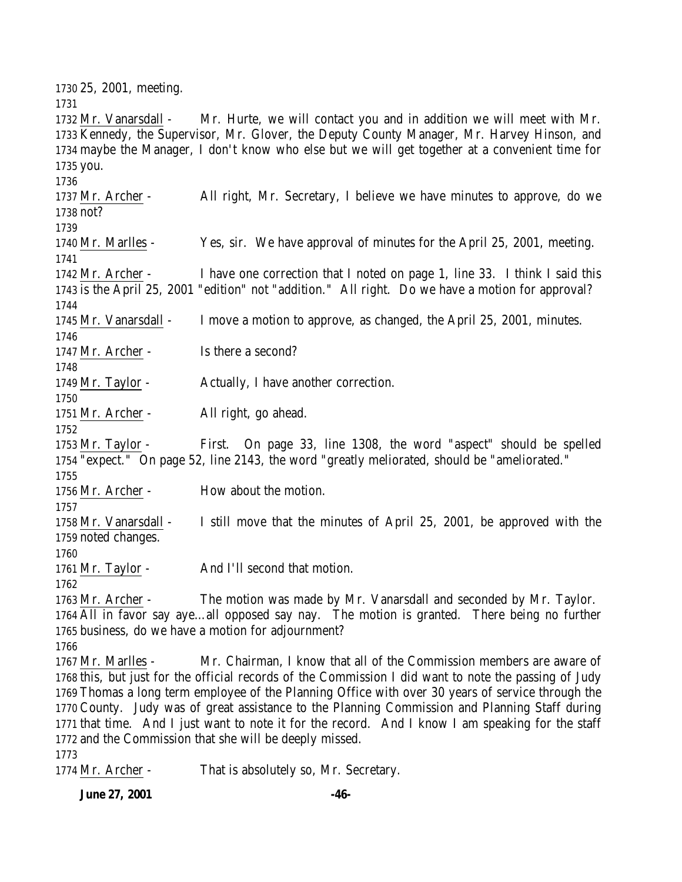25, 2001, meeting. Mr. Vanarsdall - Mr. Hurte, we will contact you and in addition we will meet with Mr. Kennedy, the Supervisor, Mr. Glover, the Deputy County Manager, Mr. Harvey Hinson, and maybe the Manager, I don't know who else but we will get together at a convenient time for you. Mr. Archer - All right, Mr. Secretary, I believe we have minutes to approve, do we not? Mr. Marlles - Yes, sir. We have approval of minutes for the April 25, 2001, meeting. Mr. Archer - I have one correction that I noted on page 1, line 33. I think I said this is the April 25, 2001 "edition" not "addition." All right. Do we have a motion for approval? Mr. Vanarsdall - I move a motion to approve, as changed, the April 25, 2001, minutes. 1747 Mr. Archer - Is there a second? 1749 Mr. Taylor - Actually, I have another correction. Mr. Archer - All right, go ahead. Mr. Taylor - First. On page 33, line 1308, the word "aspect" should be spelled "expect." On page 52, line 2143, the word "greatly meliorated, should be "ameliorated." 1756 Mr. Archer - How about the motion. Mr. Vanarsdall - I still move that the minutes of April 25, 2001, be approved with the noted changes. 1761 Mr. Taylor - And I'll second that motion. Mr. Archer - The motion was made by Mr. Vanarsdall and seconded by Mr. Taylor. All in favor say aye…all opposed say nay. The motion is granted. There being no further business, do we have a motion for adjournment? Mr. Marlles - Mr. Chairman, I know that all of the Commission members are aware of this, but just for the official records of the Commission I did want to note the passing of Judy Thomas a long term employee of the Planning Office with over 30 years of service through the County. Judy was of great assistance to the Planning Commission and Planning Staff during that time. And I just want to note it for the record. And I know I am speaking for the staff and the Commission that she will be deeply missed. 

Mr. Archer - That is absolutely so, Mr. Secretary.

**June 27, 2001 -46-**